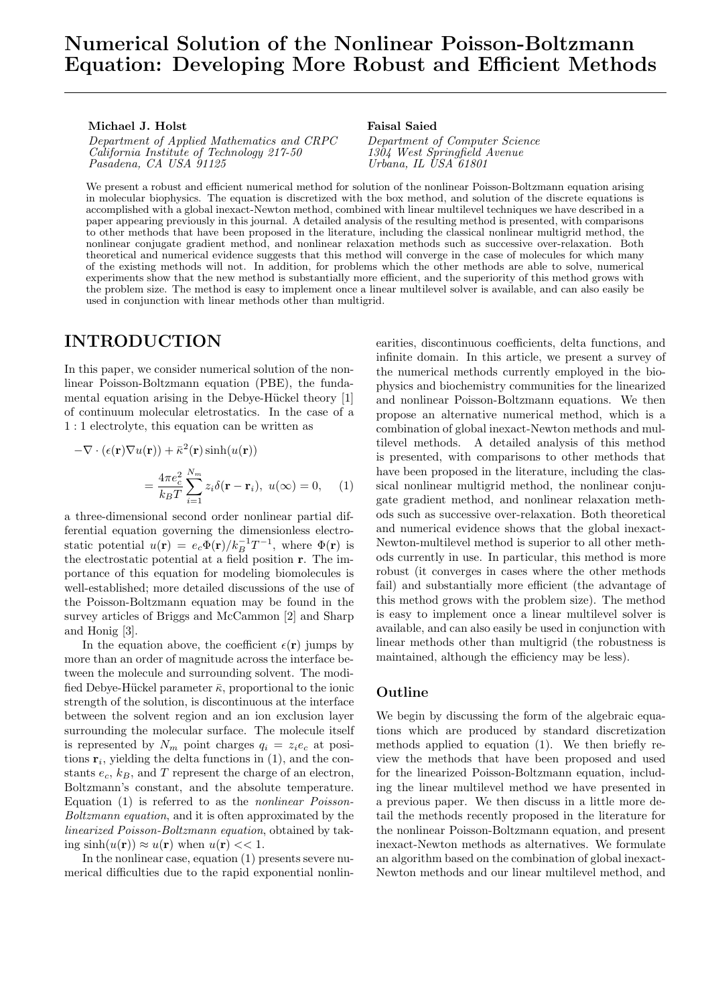#### Michael J. Holst

Department of Applied Mathematics and CRPC California Institute of Technology 217-50 Pasadena, CA USA 91125

#### Faisal Saied

Department of Computer Science 1304 West Springfield Avenue  $Urbana, IL \ \dot{U}SA \ \ddot{\delta}1801$ 

We present a robust and efficient numerical method for solution of the nonlinear Poisson-Boltzmann equation arising in molecular biophysics. The equation is discretized with the box method, and solution of the discrete equations is accomplished with a global inexact-Newton method, combined with linear multilevel techniques we have described in a paper appearing previously in this journal. A detailed analysis of the resulting method is presented, with comparisons to other methods that have been proposed in the literature, including the classical nonlinear multigrid method, the nonlinear conjugate gradient method, and nonlinear relaxation methods such as successive over-relaxation. Both theoretical and numerical evidence suggests that this method will converge in the case of molecules for which many of the existing methods will not. In addition, for problems which the other methods are able to solve, numerical experiments show that the new method is substantially more efficient, and the superiority of this method grows with the problem size. The method is easy to implement once a linear multilevel solver is available, and can also easily be used in conjunction with linear methods other than multigrid.

# INTRODUCTION

In this paper, we consider numerical solution of the nonlinear Poisson-Boltzmann equation (PBE), the fundamental equation arising in the Debye-Hückel theory  $[1]$ of continuum molecular eletrostatics. In the case of a 1 : 1 electrolyte, this equation can be written as

$$
-\nabla \cdot (\epsilon(\mathbf{r}) \nabla u(\mathbf{r})) + \bar{\kappa}^2(\mathbf{r}) \sinh(u(\mathbf{r}))
$$
  
= 
$$
\frac{4\pi e_c^2}{k_B T} \sum_{i=1}^{N_m} z_i \delta(\mathbf{r} - \mathbf{r}_i), \ u(\infty) = 0,
$$
 (1)

a three-dimensional second order nonlinear partial differential equation governing the dimensionless electrostatic potential  $u(\mathbf{r}) = e_c \Phi(\mathbf{r})/k_B^{-1} T^{-1}$ , where  $\Phi(\mathbf{r})$  is the electrostatic potential at a field position r. The importance of this equation for modeling biomolecules is well-established; more detailed discussions of the use of the Poisson-Boltzmann equation may be found in the survey articles of Briggs and McCammon [2] and Sharp and Honig [3].

In the equation above, the coefficient  $\epsilon(\mathbf{r})$  jumps by more than an order of magnitude across the interface between the molecule and surrounding solvent. The modified Debye-Hückel parameter  $\bar{\kappa}$ , proportional to the ionic strength of the solution, is discontinuous at the interface between the solvent region and an ion exclusion layer surrounding the molecular surface. The molecule itself is represented by  $N_m$  point charges  $q_i = z_i e_c$  at positions  $\mathbf{r}_i$ , yielding the delta functions in (1), and the constants  $e_c$ ,  $k_B$ , and T represent the charge of an electron, Boltzmann's constant, and the absolute temperature. Equation (1) is referred to as the nonlinear Poisson-Boltzmann equation, and it is often approximated by the linearized Poisson-Boltzmann equation, obtained by taking  $sinh(u(\mathbf{r})) \approx u(\mathbf{r})$  when  $u(\mathbf{r}) \ll 1$ .

In the nonlinear case, equation (1) presents severe numerical difficulties due to the rapid exponential nonlin-

earities, discontinuous coefficients, delta functions, and infinite domain. In this article, we present a survey of the numerical methods currently employed in the biophysics and biochemistry communities for the linearized and nonlinear Poisson-Boltzmann equations. We then propose an alternative numerical method, which is a combination of global inexact-Newton methods and multilevel methods. A detailed analysis of this method is presented, with comparisons to other methods that have been proposed in the literature, including the classical nonlinear multigrid method, the nonlinear conjugate gradient method, and nonlinear relaxation methods such as successive over-relaxation. Both theoretical and numerical evidence shows that the global inexact-Newton-multilevel method is superior to all other methods currently in use. In particular, this method is more robust (it converges in cases where the other methods fail) and substantially more efficient (the advantage of this method grows with the problem size). The method is easy to implement once a linear multilevel solver is available, and can also easily be used in conjunction with linear methods other than multigrid (the robustness is maintained, although the efficiency may be less).

#### Outline

We begin by discussing the form of the algebraic equations which are produced by standard discretization methods applied to equation (1). We then briefly review the methods that have been proposed and used for the linearized Poisson-Boltzmann equation, including the linear multilevel method we have presented in a previous paper. We then discuss in a little more detail the methods recently proposed in the literature for the nonlinear Poisson-Boltzmann equation, and present inexact-Newton methods as alternatives. We formulate an algorithm based on the combination of global inexact-Newton methods and our linear multilevel method, and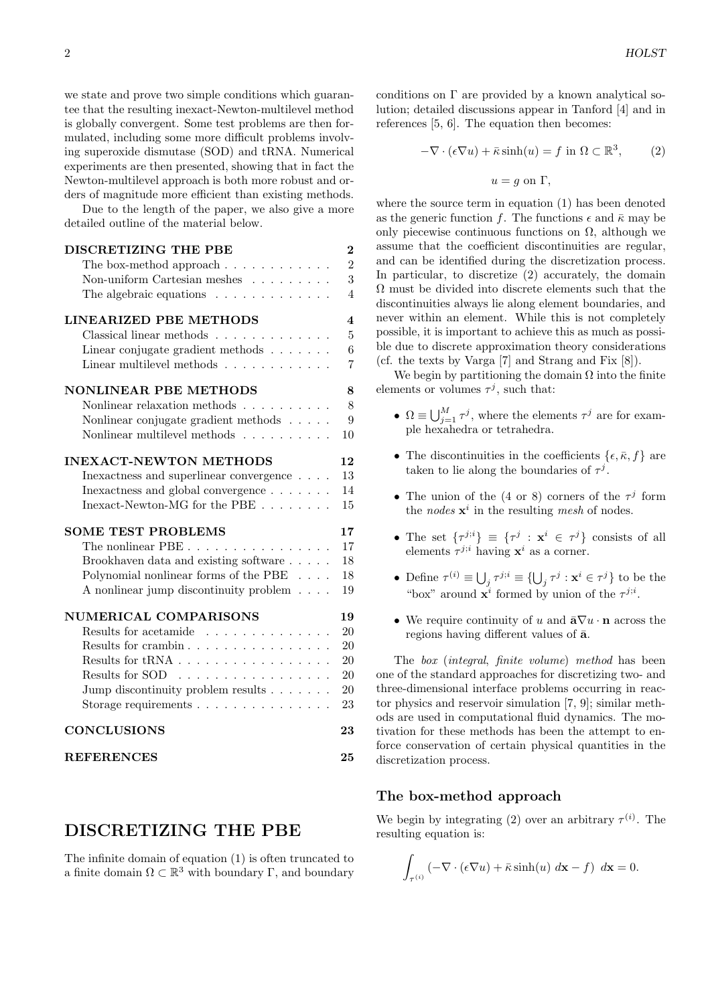we state and prove two simple conditions which guarantee that the resulting inexact-Newton-multilevel method is globally convergent. Some test problems are then formulated, including some more difficult problems involving superoxide dismutase (SOD) and tRNA. Numerical experiments are then presented, showing that in fact the Newton-multilevel approach is both more robust and orders of magnitude more efficient than existing methods.

Due to the length of the paper, we also give a more detailed outline of the material below.

| DISCRETIZING THE PBE                                      | $\overline{2}$          |
|-----------------------------------------------------------|-------------------------|
| The box-method approach $\dots \dots \dots \dots$         | $\overline{2}$          |
| Non-uniform Cartesian meshes $\ldots \ldots \ldots$       | 3                       |
| The algebraic equations $\ldots \ldots \ldots \ldots$     | $\overline{4}$          |
| LINEARIZED PBE METHODS                                    | $\overline{\mathbf{4}}$ |
| Classical linear methods $\ldots \ldots \ldots \ldots$    | $\overline{5}$          |
| Linear conjugate gradient methods $\ldots \ldots$         | 6                       |
| Linear multilevel methods $\ldots \ldots \ldots \ldots$   | $\overline{7}$          |
| <b>NONLINEAR PBE METHODS</b>                              | 8                       |
| Nonlinear relaxation methods                              | 8                       |
| Nonlinear conjugate gradient methods $\hfill\ldots\ldots$ | 9                       |
| Nonlinear multilevel methods                              | 10                      |
| <b>INEXACT-NEWTON METHODS</b>                             | 12                      |
| Inexactness and superlinear convergence                   | 13                      |
| Inexactness and global convergence $\ldots \ldots$        | 14                      |
| Inexact-Newton-MG for the PBE $\ldots \ldots \ldots$      | 15                      |
| <b>SOME TEST PROBLEMS</b>                                 | 17                      |
| The nonlinear PBE                                         | 17                      |
| Brookhaven data and existing software                     | 18                      |
| Polynomial nonlinear forms of the PBE                     | 18                      |
| A nonlinear jump discontinuity problem                    | 19                      |
| NUMERICAL COMPARISONS                                     | 19                      |
| Results for acetamide                                     | 20                      |
| Results for crambin                                       | 20                      |
|                                                           | 20                      |
| Results for SOD                                           | 20                      |
| Jump discontinuity problem results                        | 20                      |
| Storage requirements $\ldots \ldots \ldots \ldots$        | 23                      |
| <b>CONCLUSIONS</b>                                        | 23                      |
| <b>REFERENCES</b>                                         | 25                      |

# DISCRETIZING THE PBE

The infinite domain of equation (1) is often truncated to a finite domain  $\Omega \subset \mathbb{R}^3$  with boundary  $\Gamma$ , and boundary

conditions on Γ are provided by a known analytical solution; detailed discussions appear in Tanford [4] and in references [5, 6]. The equation then becomes:

$$
-\nabla \cdot (\epsilon \nabla u) + \bar{\kappa} \sinh(u) = f \text{ in } \Omega \subset \mathbb{R}^3,
$$
 (2)  

$$
u = g \text{ on } \Gamma,
$$

where the source term in equation (1) has been denoted as the generic function f. The functions  $\epsilon$  and  $\bar{\kappa}$  may be only piecewise continuous functions on  $\Omega$ , although we assume that the coefficient discontinuities are regular, and can be identified during the discretization process. In particular, to discretize (2) accurately, the domain  $\Omega$  must be divided into discrete elements such that the discontinuities always lie along element boundaries, and never within an element. While this is not completely possible, it is important to achieve this as much as possible due to discrete approximation theory considerations (cf. the texts by Varga [7] and Strang and Fix [8]).

We begin by partitioning the domain  $\Omega$  into the finite elements or volumes  $\tau^j$ , such that:

- $\Omega \equiv \bigcup_{j=1}^{M} \tau^{j}$ , where the elements  $\tau^{j}$  are for example hexahedra or tetrahedra.
- The discontinuities in the coefficients  $\{\epsilon, \bar{\kappa}, f\}$  are taken to lie along the boundaries of  $\tau^j$ .
- The union of the  $(4 \text{ or } 8)$  corners of the  $\tau^j$  form the *nodes*  $\mathbf{x}^i$  in the resulting *mesh* of nodes.
- The set  $\{\tau^{j;i}\}\equiv \{\tau^j : \mathbf{x}^i \in \tau^j\}$  consists of all elements  $\tau^{j;i}$  having  $\mathbf{x}^i$  as a corner.
- Define  $\tau^{(i)} \equiv \bigcup_j \tau^{j;i} \equiv \{\bigcup_j \tau^j : \mathbf{x}^i \in \tau^j\}$  to be the "box" around  $\mathbf{x}^i$  formed by union of the  $\tau^{j,i}$ .
- We require continuity of u and  $\bar{\mathbf{a}}\nabla u \cdot \mathbf{n}$  across the regions having different values of  $\bar{a}$ .

The box (integral, finite volume) method has been one of the standard approaches for discretizing two- and three-dimensional interface problems occurring in reactor physics and reservoir simulation [7, 9]; similar methods are used in computational fluid dynamics. The motivation for these methods has been the attempt to enforce conservation of certain physical quantities in the discretization process.

## The box-method approach

We begin by integrating (2) over an arbitrary  $\tau^{(i)}$ . The resulting equation is:

$$
\int_{\tau^{(i)}} \left( -\nabla \cdot (\epsilon \nabla u) + \bar{\kappa} \sinh(u) \, d\mathbf{x} - f \right) \, d\mathbf{x} = 0.
$$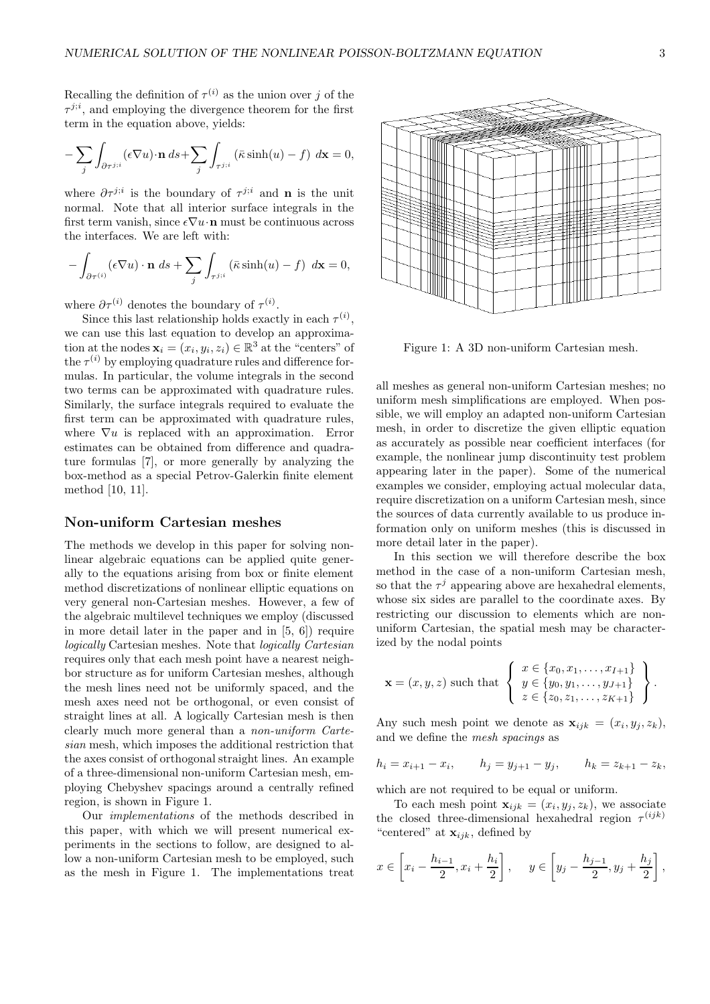Recalling the definition of  $\tau^{(i)}$  as the union over j of the  $\tau^{j;i}$ , and employing the divergence theorem for the first term in the equation above, yields:

$$
-\sum_{j}\int_{\partial\tau^{j;i}} (\epsilon \nabla u) \cdot \mathbf{n} \, ds + \sum_{j} \int_{\tau^{j;i}} (\bar{\kappa} \sinh(u) - f) \, d\mathbf{x} = 0,
$$

where  $\partial \tau^{j;i}$  is the boundary of  $\tau^{j;i}$  and **n** is the unit normal. Note that all interior surface integrals in the first term vanish, since  $\epsilon \nabla u \cdot \mathbf{n}$  must be continuous across the interfaces. We are left with:

$$
-\int_{\partial \tau^{(i)}} (\epsilon \nabla u) \cdot \mathbf{n} \, ds + \sum_{j} \int_{\tau^{j;i}} (\bar{\kappa} \sinh(u) - f) \, dx = 0,
$$

where  $\partial \tau^{(i)}$  denotes the boundary of  $\tau^{(i)}$ .

Since this last relationship holds exactly in each  $\tau^{(i)}$ , we can use this last equation to develop an approximation at the nodes  $\mathbf{x}_i = (x_i, y_i, z_i) \in \mathbb{R}^3$  at the "centers" of the  $\tau^{(i)}$  by employing quadrature rules and difference formulas. In particular, the volume integrals in the second two terms can be approximated with quadrature rules. Similarly, the surface integrals required to evaluate the first term can be approximated with quadrature rules, where  $\nabla u$  is replaced with an approximation. Error estimates can be obtained from difference and quadrature formulas [7], or more generally by analyzing the box-method as a special Petrov-Galerkin finite element method [10, 11].

## Non-uniform Cartesian meshes

The methods we develop in this paper for solving nonlinear algebraic equations can be applied quite generally to the equations arising from box or finite element method discretizations of nonlinear elliptic equations on very general non-Cartesian meshes. However, a few of the algebraic multilevel techniques we employ (discussed in more detail later in the paper and in [5, 6]) require logically Cartesian meshes. Note that logically Cartesian requires only that each mesh point have a nearest neighbor structure as for uniform Cartesian meshes, although the mesh lines need not be uniformly spaced, and the mesh axes need not be orthogonal, or even consist of straight lines at all. A logically Cartesian mesh is then clearly much more general than a non-uniform Cartesian mesh, which imposes the additional restriction that the axes consist of orthogonal straight lines. An example of a three-dimensional non-uniform Cartesian mesh, employing Chebyshev spacings around a centrally refined region, is shown in Figure 1.

Our implementations of the methods described in this paper, with which we will present numerical experiments in the sections to follow, are designed to allow a non-uniform Cartesian mesh to be employed, such as the mesh in Figure 1. The implementations treat



Figure 1: A 3D non-uniform Cartesian mesh.

all meshes as general non-uniform Cartesian meshes; no uniform mesh simplifications are employed. When possible, we will employ an adapted non-uniform Cartesian mesh, in order to discretize the given elliptic equation as accurately as possible near coefficient interfaces (for example, the nonlinear jump discontinuity test problem appearing later in the paper). Some of the numerical examples we consider, employing actual molecular data, require discretization on a uniform Cartesian mesh, since the sources of data currently available to us produce information only on uniform meshes (this is discussed in more detail later in the paper).

In this section we will therefore describe the box method in the case of a non-uniform Cartesian mesh, so that the  $\tau^j$  appearing above are hexahedral elements, whose six sides are parallel to the coordinate axes. By restricting our discussion to elements which are nonuniform Cartesian, the spatial mesh may be characterized by the nodal points

$$
\mathbf{x} = (x, y, z) \text{ such that } \begin{cases} x \in \{x_0, x_1, \dots, x_{I+1}\} \\ y \in \{y_0, y_1, \dots, y_{J+1}\} \\ z \in \{z_0, z_1, \dots, z_{K+1}\} \end{cases}.
$$

Any such mesh point we denote as  $\mathbf{x}_{ijk} = (x_i, y_j, z_k)$ , and we define the mesh spacings as

$$
h_i = x_{i+1} - x_i
$$
,  $h_j = y_{j+1} - y_j$ ,  $h_k = z_{k+1} - z_k$ ,

which are not required to be equal or uniform.

To each mesh point  $\mathbf{x}_{ijk} = (x_i, y_j, z_k)$ , we associate the closed three-dimensional hexahedral region  $\tau^{(ijk)}$ "centered" at  $\mathbf{x}_{ijk}$ , defined by

$$
x \in \left[x_i - \frac{h_{i-1}}{2}, x_i + \frac{h_i}{2}\right], \quad y \in \left[y_j - \frac{h_{j-1}}{2}, y_j + \frac{h_j}{2}\right],
$$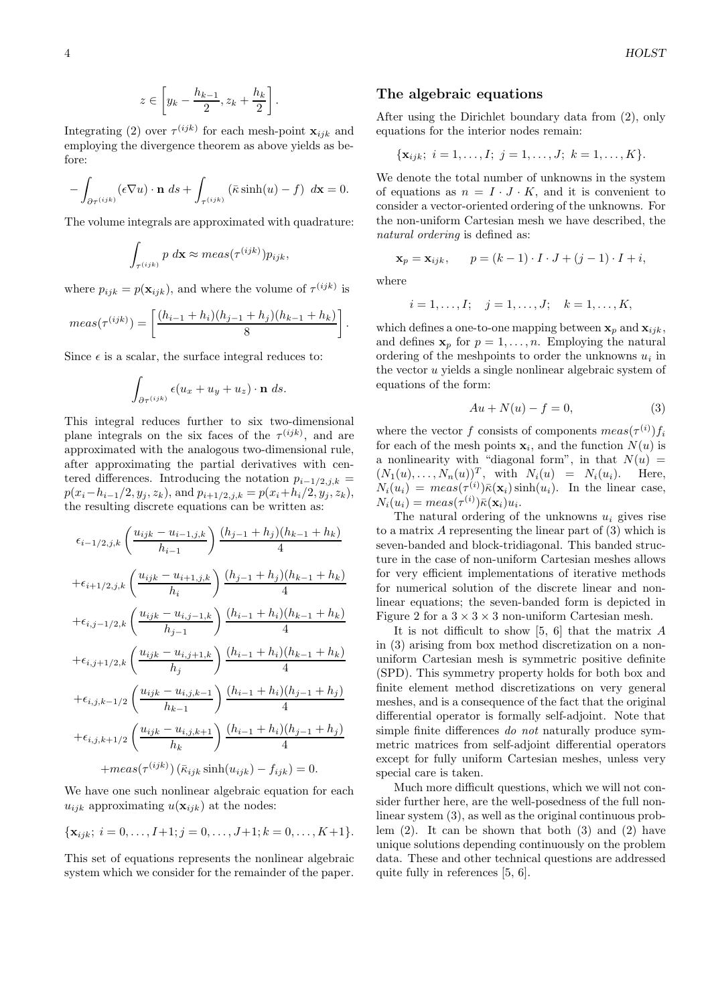$$
z\in \left[y_k-\frac{h_{k-1}}{2},z_k+\frac{h_k}{2}\right].
$$

Integrating (2) over  $\tau^{(ijk)}$  for each mesh-point  $\mathbf{x}_{ijk}$  and employing the divergence theorem as above yields as before:

$$
-\int_{\partial \tau^{(ijk)}} (\epsilon \nabla u) \cdot \mathbf{n} \, ds + \int_{\tau^{(ijk)}} (\bar{\kappa} \sinh(u) - f) \, dx = 0.
$$

The volume integrals are approximated with quadrature:

$$
\int_{\tau^{(ijk)}} p \, d\mathbf{x} \approx meas(\tau^{(ijk)}) p_{ijk},
$$

where  $p_{ijk} = p(\mathbf{x}_{ijk})$ , and where the volume of  $\tau^{(ijk)}$  is

$$
meas(\tau^{(ijk)}) = \left[\frac{(h_{i-1} + h_i)(h_{j-1} + h_j)(h_{k-1} + h_k)}{8}\right].
$$

Since  $\epsilon$  is a scalar, the surface integral reduces to:

$$
\int_{\partial \tau^{(ijk)}} \epsilon(u_x + u_y + u_z) \cdot \mathbf{n} \ ds.
$$

This integral reduces further to six two-dimensional plane integrals on the six faces of the  $\tau^{(ijk)}$ , and are approximated with the analogous two-dimensional rule, after approximating the partial derivatives with centered differences. Introducing the notation  $p_{i-1/2,j,k}$  =  $p(x_i-h_{i-1}/2, y_j, z_k)$ , and  $p_{i+1/2,j,k} = p(x_i+h_i/2, y_j, z_k)$ , the resulting discrete equations can be written as:

$$
\epsilon_{i-1/2,j,k} \left( \frac{u_{ijk} - u_{i-1,j,k}}{h_{i-1}} \right) \frac{(h_{j-1} + h_j)(h_{k-1} + h_k)}{4}
$$
  
+
$$
\epsilon_{i+1/2,j,k} \left( \frac{u_{ijk} - u_{i+1,j,k}}{h_i} \right) \frac{(h_{j-1} + h_j)(h_{k-1} + h_k)}{4}
$$
  
+
$$
\epsilon_{i,j-1/2,k} \left( \frac{u_{ijk} - u_{i,j-1,k}}{h_{j-1}} \right) \frac{(h_{i-1} + h_i)(h_{k-1} + h_k)}{4}
$$
  
+
$$
\epsilon_{i,j+1/2,k} \left( \frac{u_{ijk} - u_{i,j+1,k}}{h_j} \right) \frac{(h_{i-1} + h_i)(h_{k-1} + h_k)}{4}
$$
  
+
$$
\epsilon_{i,j,k-1/2} \left( \frac{u_{ijk} - u_{i,j,k-1}}{h_{k-1}} \right) \frac{(h_{i-1} + h_i)(h_{j-1} + h_j)}{4}
$$
  
+
$$
\epsilon_{i,j,k+1/2} \left( \frac{u_{ijk} - u_{i,j,k+1}}{h_k} \right) \frac{(h_{i-1} + h_i)(h_{j-1} + h_j)}{4}
$$
  
+
$$
meas(\tau^{(ijk)}) (\bar{\kappa}_{ijk} \sinh(u_{ijk}) - f_{ijk}) = 0.
$$

We have one such nonlinear algebraic equation for each  $u_{ijk}$  approximating  $u(\mathbf{x}_{ijk})$  at the nodes:

$$
\{\mathbf x_{ijk};\ i=0,\ldots,I+1; j=0,\ldots,J+1; k=0,\ldots,K+1\}.
$$

This set of equations represents the nonlinear algebraic system which we consider for the remainder of the paper.

#### The algebraic equations

After using the Dirichlet boundary data from (2), only equations for the interior nodes remain:

$$
\{\mathbf x_{ijk};\ i=1,\ldots,I;\ j=1,\ldots,J;\ k=1,\ldots,K\}.
$$

We denote the total number of unknowns in the system of equations as  $n = I \cdot J \cdot K$ , and it is convenient to consider a vector-oriented ordering of the unknowns. For the non-uniform Cartesian mesh we have described, the natural ordering is defined as:

$$
\mathbf{x}_p = \mathbf{x}_{ijk}, \qquad p = (k-1) \cdot I \cdot J + (j-1) \cdot I + i,
$$

where

$$
i = 1, ..., I; \quad j = 1, ..., J; \quad k = 1, ..., K,
$$

which defines a one-to-one mapping between  $x_p$  and  $x_{ijk}$ , and defines  $\mathbf{x}_p$  for  $p = 1, \ldots, n$ . Employing the natural ordering of the meshpoints to order the unknowns  $u_i$  in the vector  $u$  yields a single nonlinear algebraic system of equations of the form:

$$
Au + N(u) - f = 0,\t\t(3)
$$

where the vector f consists of components  $meas(\tau^{(i)})f_i$ for each of the mesh points  $x_i$ , and the function  $N(u)$  is a nonlinearity with "diagonal form", in that  $N(u) =$  $(N_1(u), \ldots, N_n(u))^T$ , with  $N_i(u) = N_i(u_i)$ . Here,  $N_i(u_i) = meas(\tau^{(i)})\bar{\kappa}(\mathbf{x}_i)\sinh(u_i)$ . In the linear case,  $N_i(u_i) = meas(\tau^{(i)})\bar{\kappa}(\mathbf{x}_i)u_i.$ 

The natural ordering of the unknowns  $u_i$  gives rise to a matrix A representing the linear part of (3) which is seven-banded and block-tridiagonal. This banded structure in the case of non-uniform Cartesian meshes allows for very efficient implementations of iterative methods for numerical solution of the discrete linear and nonlinear equations; the seven-banded form is depicted in Figure 2 for a  $3 \times 3 \times 3$  non-uniform Cartesian mesh.

It is not difficult to show  $[5, 6]$  that the matrix A in (3) arising from box method discretization on a nonuniform Cartesian mesh is symmetric positive definite (SPD). This symmetry property holds for both box and finite element method discretizations on very general meshes, and is a consequence of the fact that the original differential operator is formally self-adjoint. Note that simple finite differences do not naturally produce symmetric matrices from self-adjoint differential operators except for fully uniform Cartesian meshes, unless very special care is taken.

Much more difficult questions, which we will not consider further here, are the well-posedness of the full nonlinear system (3), as well as the original continuous problem  $(2)$ . It can be shown that both  $(3)$  and  $(2)$  have unique solutions depending continuously on the problem data. These and other technical questions are addressed quite fully in references [5, 6].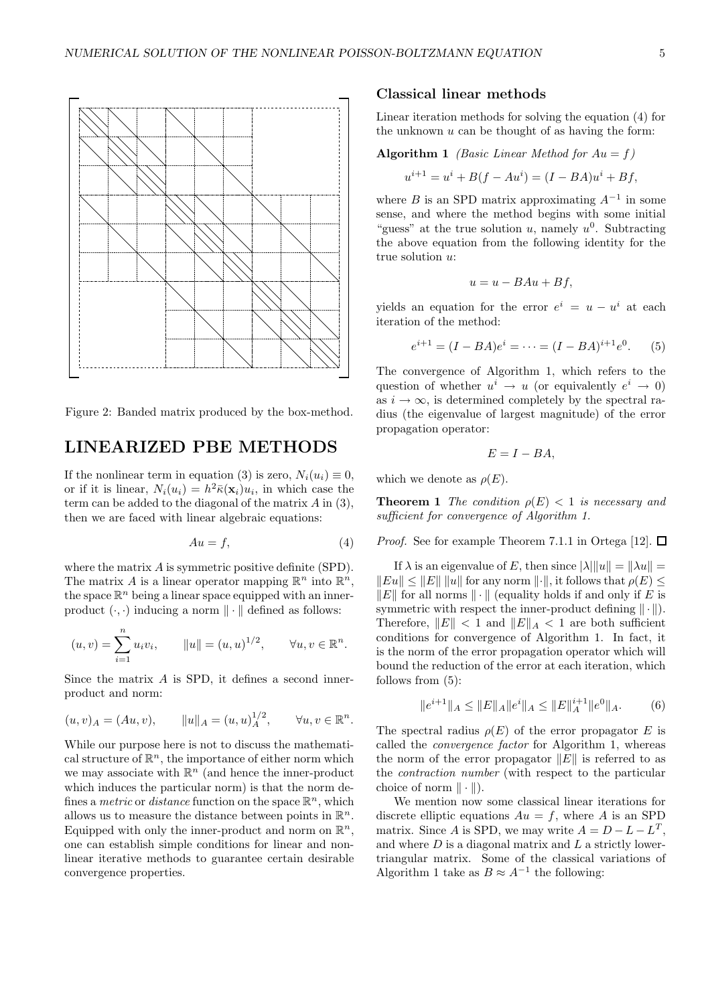

Figure 2: Banded matrix produced by the box-method.

# LINEARIZED PBE METHODS

If the nonlinear term in equation (3) is zero,  $N_i(u_i) \equiv 0$ , or if it is linear,  $N_i(u_i) = h^2 \bar{\kappa}(\mathbf{x}_i) u_i$ , in which case the term can be added to the diagonal of the matrix A in (3), then we are faced with linear algebraic equations:

$$
Au = f,\tag{4}
$$

where the matrix A is symmetric positive definite (SPD). The matrix A is a linear operator mapping  $\mathbb{R}^n$  into  $\mathbb{R}^n$ , the space  $\mathbb{R}^n$  being a linear space equipped with an innerproduct  $(\cdot, \cdot)$  inducing a norm  $\|\cdot\|$  defined as follows:

$$
(u, v) = \sum_{i=1}^{n} u_i v_i
$$
,  $||u|| = (u, u)^{1/2}$ ,  $\forall u, v \in \mathbb{R}^n$ .

Since the matrix A is SPD, it defines a second innerproduct and norm:

$$
(u, v)_A = (Au, v),
$$
  $||u||_A = (u, u)_A^{1/2},$   $\forall u, v \in \mathbb{R}^n.$ 

While our purpose here is not to discuss the mathematical structure of  $\mathbb{R}^n$ , the importance of either norm which we may associate with  $\mathbb{R}^n$  (and hence the inner-product which induces the particular norm) is that the norm defines a *metric* or *distance* function on the space  $\mathbb{R}^n$ , which allows us to measure the distance between points in  $\mathbb{R}^n$ . Equipped with only the inner-product and norm on  $\mathbb{R}^n$ , one can establish simple conditions for linear and nonlinear iterative methods to guarantee certain desirable convergence properties.

### Classical linear methods

Linear iteration methods for solving the equation (4) for the unknown  $u$  can be thought of as having the form:

#### Algorithm 1 *(Basic Linear Method for Au = f)*

$$
u^{i+1} = u^i + B(f - Au^i) = (I - BA)u^i + Bf,
$$

where B is an SPD matrix approximating  $A^{-1}$  in some sense, and where the method begins with some initial "guess" at the true solution u, namely  $u^0$ . Subtracting the above equation from the following identity for the true solution u:

$$
u = u - BAu + Bf,
$$

yields an equation for the error  $e^i = u - u^i$  at each iteration of the method:

$$
e^{i+1} = (I - BA)e^i = \dots = (I - BA)^{i+1}e^0.
$$
 (5)

The convergence of Algorithm 1, which refers to the question of whether  $u^i \to u$  (or equivalently  $e^i \to 0$ ) as  $i \to \infty$ , is determined completely by the spectral radius (the eigenvalue of largest magnitude) of the error propagation operator:

$$
E=I-BA,
$$

which we denote as  $\rho(E)$ .

e

**Theorem 1** The condition  $\rho(E) < 1$  is necessary and sufficient for convergence of Algorithm 1.

*Proof.* See for example Theorem 7.1.1 in Ortega [12].  $\Box$ 

If  $\lambda$  is an eigenvalue of E, then since  $|\lambda| ||u|| = ||\lambda u|| =$  $||Eu|| \le ||E|| ||u||$  for any norm  $||\cdot||$ , it follows that  $\rho(E) \le$  $||E||$  for all norms  $|| \cdot ||$  (equality holds if and only if E is symmetric with respect the inner-product defining  $\|\cdot\|$ . Therefore,  $||E|| < 1$  and  $||E||_A < 1$  are both sufficient conditions for convergence of Algorithm 1. In fact, it is the norm of the error propagation operator which will bound the reduction of the error at each iteration, which follows from (5):

$$
||e^{i+1}||_A \le ||E||_A ||e^i||_A \le ||E||_A^{i+1} ||e^0||_A. \tag{6}
$$

The spectral radius  $\rho(E)$  of the error propagator E is called the convergence factor for Algorithm 1, whereas the norm of the error propagator  $||E||$  is referred to as the contraction number (with respect to the particular choice of norm  $\|\cdot\|$ ).

We mention now some classical linear iterations for discrete elliptic equations  $Au = f$ , where A is an SPD matrix. Since A is SPD, we may write  $A = D - L - L^T$ , and where  $D$  is a diagonal matrix and  $L$  a strictly lowertriangular matrix. Some of the classical variations of Algorithm 1 take as  $B \approx A^{-1}$  the following: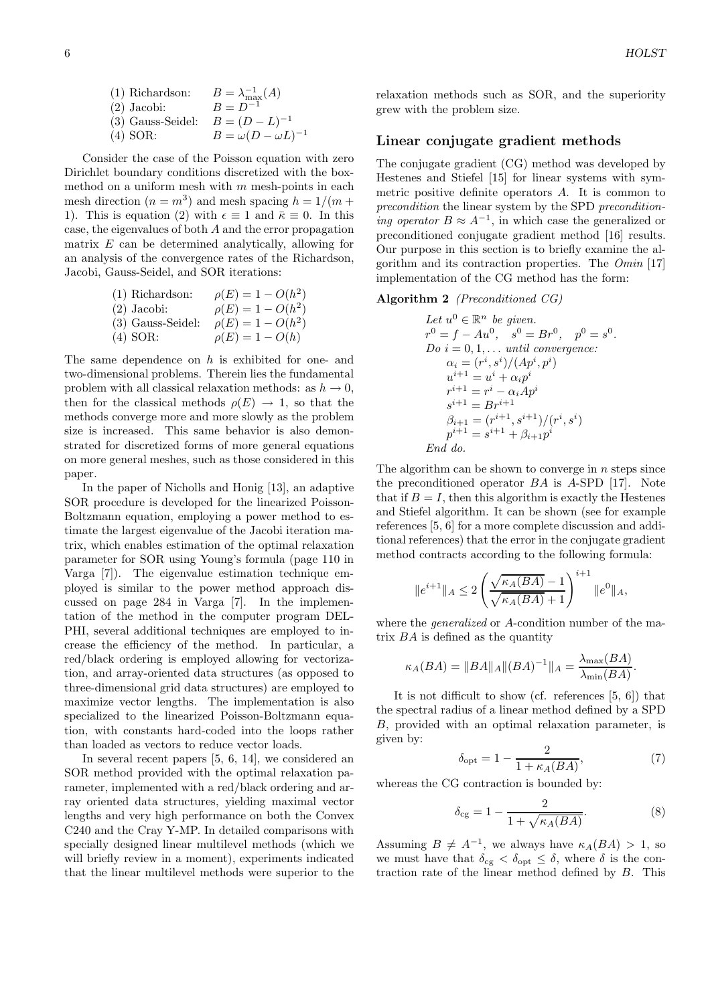Consider the case of the Poisson equation with zero Dirichlet boundary conditions discretized with the boxmethod on a uniform mesh with  $m$  mesh-points in each mesh direction  $(n = m^3)$  and mesh spacing  $h = 1/(m +$ 1). This is equation (2) with  $\epsilon \equiv 1$  and  $\bar{\kappa} \equiv 0$ . In this case, the eigenvalues of both A and the error propagation matrix E can be determined analytically, allowing for an analysis of the convergence rates of the Richardson, Jacobi, Gauss-Seidel, and SOR iterations:

| $(1)$ Richardson:   | $\rho(E) = 1 - O(h^2)$ |
|---------------------|------------------------|
| $(2)$ Jacobi:       | $\rho(E) = 1 - O(h^2)$ |
| $(3)$ Gauss-Seidel: | $\rho(E) = 1 - O(h^2)$ |
| $(4)$ SOR:          | $\rho(E) = 1 - O(h)$   |

The same dependence on  $h$  is exhibited for one- and two-dimensional problems. Therein lies the fundamental problem with all classical relaxation methods: as  $h \to 0$ , then for the classical methods  $\rho(E) \rightarrow 1$ , so that the methods converge more and more slowly as the problem size is increased. This same behavior is also demonstrated for discretized forms of more general equations on more general meshes, such as those considered in this paper.

In the paper of Nicholls and Honig [13], an adaptive SOR procedure is developed for the linearized Poisson-Boltzmann equation, employing a power method to estimate the largest eigenvalue of the Jacobi iteration matrix, which enables estimation of the optimal relaxation parameter for SOR using Young's formula (page 110 in Varga [7]). The eigenvalue estimation technique employed is similar to the power method approach discussed on page 284 in Varga [7]. In the implementation of the method in the computer program DEL-PHI, several additional techniques are employed to increase the efficiency of the method. In particular, a red/black ordering is employed allowing for vectorization, and array-oriented data structures (as opposed to three-dimensional grid data structures) are employed to maximize vector lengths. The implementation is also specialized to the linearized Poisson-Boltzmann equation, with constants hard-coded into the loops rather than loaded as vectors to reduce vector loads.

In several recent papers [5, 6, 14], we considered an SOR method provided with the optimal relaxation parameter, implemented with a red/black ordering and array oriented data structures, yielding maximal vector lengths and very high performance on both the Convex C240 and the Cray Y-MP. In detailed comparisons with specially designed linear multilevel methods (which we will briefly review in a moment), experiments indicated that the linear multilevel methods were superior to the relaxation methods such as SOR, and the superiority grew with the problem size.

### Linear conjugate gradient methods

The conjugate gradient (CG) method was developed by Hestenes and Stiefel [15] for linear systems with symmetric positive definite operators A. It is common to precondition the linear system by the SPD preconditioning operator  $B \approx A^{-1}$ , in which case the generalized or preconditioned conjugate gradient method [16] results. Our purpose in this section is to briefly examine the algorithm and its contraction properties. The Omin [17] implementation of the CG method has the form:

#### Algorithm 2 (Preconditioned CG)

Let 
$$
u^0 \in \mathbb{R}^n
$$
 be given.  
\n $r^0 = f - Au^0$ ,  $s^0 = Br^0$ ,  $p^0 = s^0$ .  
\nDo  $i = 0, 1, ...$  until convergence:  
\n $\alpha_i = (r^i, s^i)/(Ap^i, p^i)$   
\n $u^{i+1} = u^i + \alpha_i p^i$   
\n $r^{i+1} = r^i - \alpha_i Ap^i$   
\n $s^{i+1} = Br^{i+1}$   
\n $\beta_{i+1} = (r^{i+1}, s^{i+1})/(r^i, s^i)$   
\n $p^{i+1} = s^{i+1} + \beta_{i+1} p^i$   
\nEnd do.

The algorithm can be shown to converge in  $n$  steps since the preconditioned operator BA is A-SPD [17]. Note that if  $B = I$ , then this algorithm is exactly the Hestenes and Stiefel algorithm. It can be shown (see for example references [5, 6] for a more complete discussion and additional references) that the error in the conjugate gradient method contracts according to the following formula:

$$
|e^{i+1}\|_{A} \leq 2\left(\frac{\sqrt{\kappa_{A}(BA)}-1}{\sqrt{\kappa_{A}(BA)}+1}\right)^{i+1} \|e^{0}\|_{A},
$$

ke

where the *generalized* or A-condition number of the matrix  $BA$  is defined as the quantity

$$
\kappa_A(BA) = \|BA\|_A \|(BA)^{-1}\|_A = \frac{\lambda_{\max}(BA)}{\lambda_{\min}(BA)}.
$$

It is not difficult to show (cf. references [5, 6]) that the spectral radius of a linear method defined by a SPD B, provided with an optimal relaxation parameter, is given by:

$$
\delta_{\rm opt} = 1 - \frac{2}{1 + \kappa_A (BA)},\tag{7}
$$

whereas the CG contraction is bounded by:

$$
\delta_{cg} = 1 - \frac{2}{1 + \sqrt{\kappa_A(BA)}}.\tag{8}
$$

Assuming  $B \neq A^{-1}$ , we always have  $\kappa_A(BA) > 1$ , so we must have that  $\delta_{cg} < \delta_{opt} \leq \delta$ , where  $\delta$  is the contraction rate of the linear method defined by B. This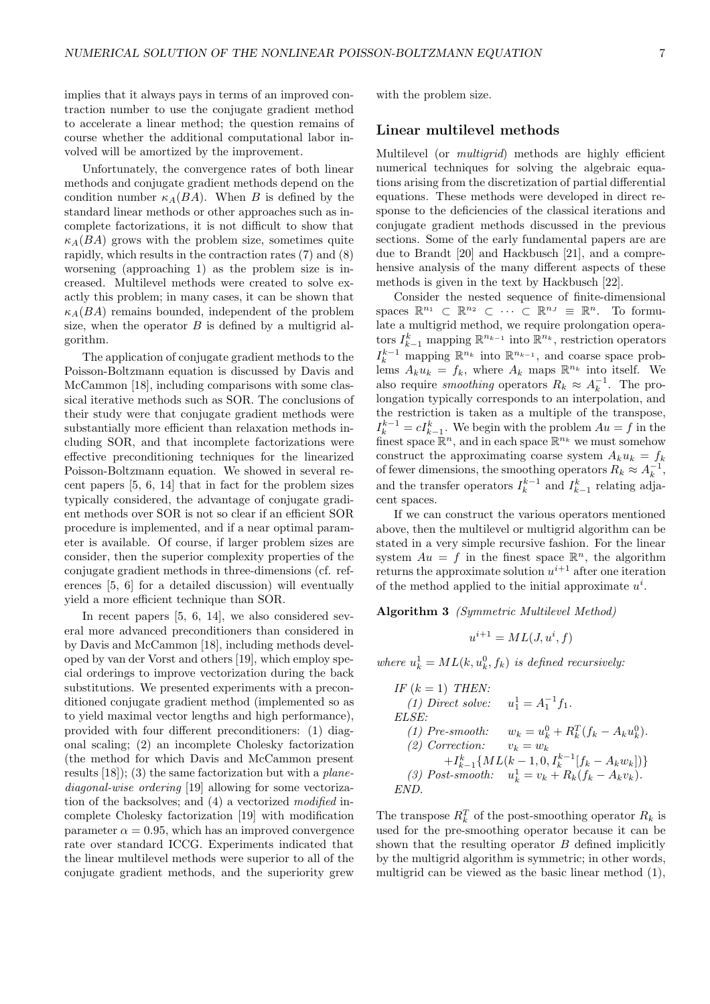implies that it always pays in terms of an improved contraction number to use the conjugate gradient method to accelerate a linear method; the question remains of course whether the additional computational labor involved will be amortized by the improvement.

Unfortunately, the convergence rates of both linear methods and conjugate gradient methods depend on the condition number  $\kappa_A(BA)$ . When B is defined by the standard linear methods or other approaches such as incomplete factorizations, it is not difficult to show that  $\kappa_A(BA)$  grows with the problem size, sometimes quite rapidly, which results in the contraction rates (7) and (8) worsening (approaching 1) as the problem size is increased. Multilevel methods were created to solve exactly this problem; in many cases, it can be shown that  $\kappa_A(BA)$  remains bounded, independent of the problem size, when the operator  $B$  is defined by a multigrid algorithm.

The application of conjugate gradient methods to the Poisson-Boltzmann equation is discussed by Davis and McCammon [18], including comparisons with some classical iterative methods such as SOR. The conclusions of their study were that conjugate gradient methods were substantially more efficient than relaxation methods including SOR, and that incomplete factorizations were effective preconditioning techniques for the linearized Poisson-Boltzmann equation. We showed in several recent papers [5, 6, 14] that in fact for the problem sizes typically considered, the advantage of conjugate gradient methods over SOR is not so clear if an efficient SOR procedure is implemented, and if a near optimal parameter is available. Of course, if larger problem sizes are consider, then the superior complexity properties of the conjugate gradient methods in three-dimensions (cf. references [5, 6] for a detailed discussion) will eventually yield a more efficient technique than SOR.

In recent papers [5, 6, 14], we also considered several more advanced preconditioners than considered in by Davis and McCammon [18], including methods developed by van der Vorst and others [19], which employ special orderings to improve vectorization during the back substitutions. We presented experiments with a preconditioned conjugate gradient method (implemented so as to yield maximal vector lengths and high performance), provided with four different preconditioners: (1) diagonal scaling; (2) an incomplete Cholesky factorization (the method for which Davis and McCammon present results  $[18]$ ;  $(3)$  the same factorization but with a *plane*diagonal-wise ordering [19] allowing for some vectorization of the backsolves; and (4) a vectorized modified incomplete Cholesky factorization [19] with modification parameter  $\alpha = 0.95$ , which has an improved convergence rate over standard ICCG. Experiments indicated that the linear multilevel methods were superior to all of the conjugate gradient methods, and the superiority grew with the problem size.

## Linear multilevel methods

Multilevel (or *multigrid*) methods are highly efficient numerical techniques for solving the algebraic equations arising from the discretization of partial differential equations. These methods were developed in direct response to the deficiencies of the classical iterations and conjugate gradient methods discussed in the previous sections. Some of the early fundamental papers are are due to Brandt [20] and Hackbusch [21], and a comprehensive analysis of the many different aspects of these methods is given in the text by Hackbusch [22].

Consider the nested sequence of finite-dimensional spaces  $\mathbb{R}^{n_1} \subset \mathbb{R}^{n_2} \subset \cdots \subset \mathbb{R}^{n_J} \equiv \mathbb{R}^n$ . To formulate a multigrid method, we require prolongation operators  $I_{k-1}^k$  mapping  $\mathbb{R}^{n_{k-1}}$  into  $\mathbb{R}^{n_k}$ , restriction operators  $I_k^{k-1}$  mapping ℝ<sup>n<sub>k</sub></sup> into ℝ<sup>n<sub>k-1</sub></sup>, and coarse space problems  $A_k u_k = f_k$ , where  $A_k$  maps  $\mathbb{R}^{n_k}$  into itself. We also require *smoothing* operators  $R_k \approx A_k^{-1}$ . The prolongation typically corresponds to an interpolation, and the restriction is taken as a multiple of the transpose,  $I_{k-1}^{k-1} = cI_{k-1}^{k}$ . We begin with the problem  $Au = f$  in the finest space  $\mathbb{R}^n$ , and in each space  $\mathbb{R}^{n_k}$  we must somehow construct the approximating coarse system  $A_k u_k = f_k$ of fewer dimensions, the smoothing operators  $R_k \approx A_k^{-1}$ , and the transfer operators  $I_k^{k-1}$  and  $I_{k-1}^k$  relating adjacent spaces.

If we can construct the various operators mentioned above, then the multilevel or multigrid algorithm can be stated in a very simple recursive fashion. For the linear system  $Au = f$  in the finest space  $\mathbb{R}^n$ , the algorithm returns the approximate solution  $u^{i+1}$  after one iteration of the method applied to the initial approximate  $u^i$ .

Algorithm 3 (Symmetric Multilevel Method)

$$
u^{i+1} = ML(J, u^i, f)
$$

where  $u_k^1 = ML(k, u_k^0, f_k)$  is defined recursively:

IF (k = 1) THEN:  
\n(1) Direct solve: 
$$
u_1^1 = A_1^{-1} f_1
$$
.  
\nELSE:  
\n(1) Pre-smooth:  $w_k = u_k^0 + R_k^T (f_k - A_k u_k^0)$ .  
\n(2) Correction:  $v_k = w_k$   
\n $+ I_{k-1}^k \{ML(k-1, 0, I_k^{k-1}[f_k - A_k w_k])\}$   
\n(3) Post-smooth:  $u_k^1 = v_k + R_k (f_k - A_k v_k)$ .  
\nEND.

The transpose  $R_k^T$  of the post-smoothing operator  $R_k$  is used for the pre-smoothing operator because it can be shown that the resulting operator  $B$  defined implicitly by the multigrid algorithm is symmetric; in other words, multigrid can be viewed as the basic linear method (1),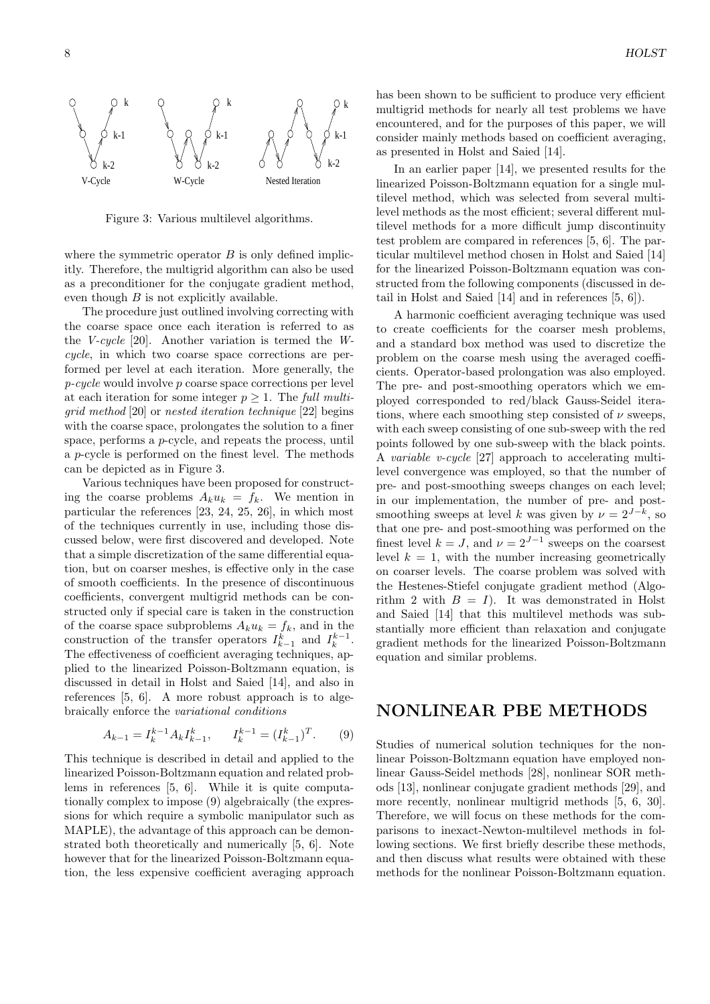

Figure 3: Various multilevel algorithms.

where the symmetric operator  $B$  is only defined implicitly. Therefore, the multigrid algorithm can also be used as a preconditioner for the conjugate gradient method, even though  $B$  is not explicitly available.

The procedure just outlined involving correcting with the coarse space once each iteration is referred to as the V-cycle [20]. Another variation is termed the Wcycle, in which two coarse space corrections are performed per level at each iteration. More generally, the p-cycle would involve p coarse space corrections per level at each iteration for some integer  $p \geq 1$ . The full multigrid method [20] or nested iteration technique [22] begins with the coarse space, prolongates the solution to a finer space, performs a p-cycle, and repeats the process, until a p-cycle is performed on the finest level. The methods can be depicted as in Figure 3.

Various techniques have been proposed for constructing the coarse problems  $A_k u_k = f_k$ . We mention in particular the references [23, 24, 25, 26], in which most of the techniques currently in use, including those discussed below, were first discovered and developed. Note that a simple discretization of the same differential equation, but on coarser meshes, is effective only in the case of smooth coefficients. In the presence of discontinuous coefficients, convergent multigrid methods can be constructed only if special care is taken in the construction of the coarse space subproblems  $A_k u_k = f_k$ , and in the construction of the transfer operators  $I_{k-1}^k$  and  $I_k^{k-1}$ . The effectiveness of coefficient averaging techniques, applied to the linearized Poisson-Boltzmann equation, is discussed in detail in Holst and Saied [14], and also in references [5, 6]. A more robust approach is to algebraically enforce the variational conditions

$$
A_{k-1} = I_k^{k-1} A_k I_{k-1}^k, \qquad I_k^{k-1} = (I_{k-1}^k)^T. \tag{9}
$$

This technique is described in detail and applied to the linearized Poisson-Boltzmann equation and related problems in references [5, 6]. While it is quite computationally complex to impose (9) algebraically (the expressions for which require a symbolic manipulator such as MAPLE), the advantage of this approach can be demonstrated both theoretically and numerically [5, 6]. Note however that for the linearized Poisson-Boltzmann equation, the less expensive coefficient averaging approach has been shown to be sufficient to produce very efficient multigrid methods for nearly all test problems we have encountered, and for the purposes of this paper, we will consider mainly methods based on coefficient averaging, as presented in Holst and Saied [14].

In an earlier paper [14], we presented results for the linearized Poisson-Boltzmann equation for a single multilevel method, which was selected from several multilevel methods as the most efficient; several different multilevel methods for a more difficult jump discontinuity test problem are compared in references [5, 6]. The particular multilevel method chosen in Holst and Saied [14] for the linearized Poisson-Boltzmann equation was constructed from the following components (discussed in detail in Holst and Saied [14] and in references [5, 6]).

A harmonic coefficient averaging technique was used to create coefficients for the coarser mesh problems, and a standard box method was used to discretize the problem on the coarse mesh using the averaged coefficients. Operator-based prolongation was also employed. The pre- and post-smoothing operators which we employed corresponded to red/black Gauss-Seidel iterations, where each smoothing step consisted of  $\nu$  sweeps. with each sweep consisting of one sub-sweep with the red points followed by one sub-sweep with the black points. A variable v-cycle [27] approach to accelerating multilevel convergence was employed, so that the number of pre- and post-smoothing sweeps changes on each level; in our implementation, the number of pre- and postsmoothing sweeps at level k was given by  $\nu = 2^{J-k}$ , so that one pre- and post-smoothing was performed on the finest level  $k = J$ , and  $\nu = 2^{J-1}$  sweeps on the coarsest level  $k = 1$ , with the number increasing geometrically on coarser levels. The coarse problem was solved with the Hestenes-Stiefel conjugate gradient method (Algorithm 2 with  $B = I$ ). It was demonstrated in Holst and Saied [14] that this multilevel methods was substantially more efficient than relaxation and conjugate gradient methods for the linearized Poisson-Boltzmann equation and similar problems.

# NONLINEAR PBE METHODS

Studies of numerical solution techniques for the nonlinear Poisson-Boltzmann equation have employed nonlinear Gauss-Seidel methods [28], nonlinear SOR methods [13], nonlinear conjugate gradient methods [29], and more recently, nonlinear multigrid methods [5, 6, 30]. Therefore, we will focus on these methods for the comparisons to inexact-Newton-multilevel methods in following sections. We first briefly describe these methods, and then discuss what results were obtained with these methods for the nonlinear Poisson-Boltzmann equation.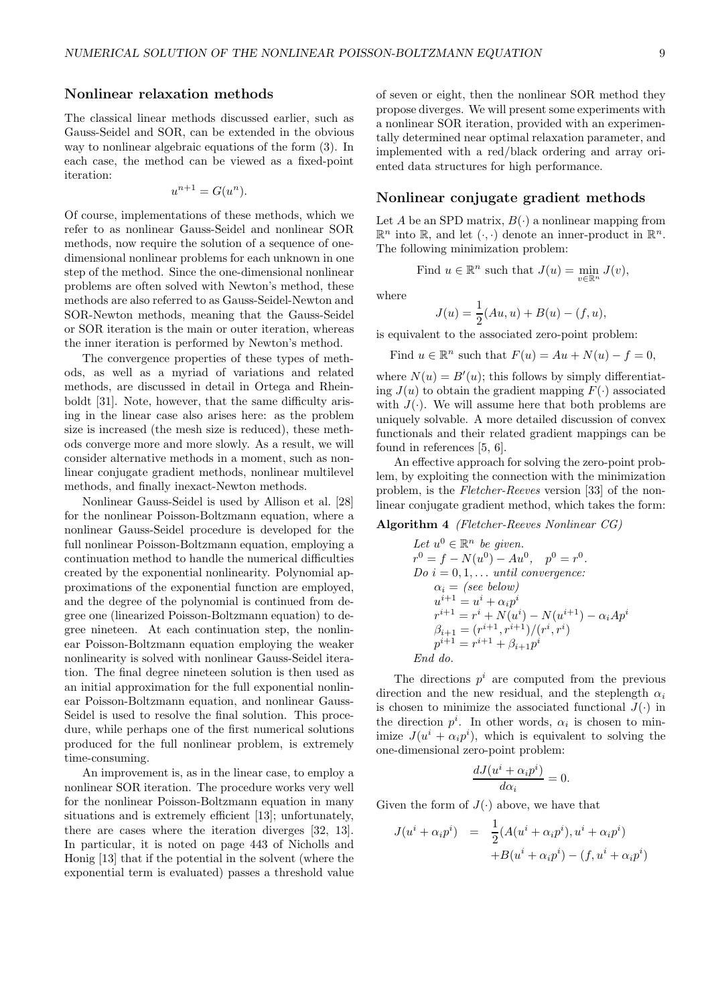## Nonlinear relaxation methods

The classical linear methods discussed earlier, such as Gauss-Seidel and SOR, can be extended in the obvious way to nonlinear algebraic equations of the form (3). In each case, the method can be viewed as a fixed-point iteration:

$$
u^{n+1} = G(u^n).
$$

Of course, implementations of these methods, which we refer to as nonlinear Gauss-Seidel and nonlinear SOR methods, now require the solution of a sequence of onedimensional nonlinear problems for each unknown in one step of the method. Since the one-dimensional nonlinear problems are often solved with Newton's method, these methods are also referred to as Gauss-Seidel-Newton and SOR-Newton methods, meaning that the Gauss-Seidel or SOR iteration is the main or outer iteration, whereas the inner iteration is performed by Newton's method.

The convergence properties of these types of methods, as well as a myriad of variations and related methods, are discussed in detail in Ortega and Rheinboldt [31]. Note, however, that the same difficulty arising in the linear case also arises here: as the problem size is increased (the mesh size is reduced), these methods converge more and more slowly. As a result, we will consider alternative methods in a moment, such as nonlinear conjugate gradient methods, nonlinear multilevel methods, and finally inexact-Newton methods.

Nonlinear Gauss-Seidel is used by Allison et al. [28] for the nonlinear Poisson-Boltzmann equation, where a nonlinear Gauss-Seidel procedure is developed for the full nonlinear Poisson-Boltzmann equation, employing a continuation method to handle the numerical difficulties created by the exponential nonlinearity. Polynomial approximations of the exponential function are employed, and the degree of the polynomial is continued from degree one (linearized Poisson-Boltzmann equation) to degree nineteen. At each continuation step, the nonlinear Poisson-Boltzmann equation employing the weaker nonlinearity is solved with nonlinear Gauss-Seidel iteration. The final degree nineteen solution is then used as an initial approximation for the full exponential nonlinear Poisson-Boltzmann equation, and nonlinear Gauss-Seidel is used to resolve the final solution. This procedure, while perhaps one of the first numerical solutions produced for the full nonlinear problem, is extremely time-consuming.

An improvement is, as in the linear case, to employ a nonlinear SOR iteration. The procedure works very well for the nonlinear Poisson-Boltzmann equation in many situations and is extremely efficient [13]; unfortunately, there are cases where the iteration diverges [32, 13]. In particular, it is noted on page 443 of Nicholls and Honig [13] that if the potential in the solvent (where the exponential term is evaluated) passes a threshold value of seven or eight, then the nonlinear SOR method they propose diverges. We will present some experiments with a nonlinear SOR iteration, provided with an experimentally determined near optimal relaxation parameter, and implemented with a red/black ordering and array oriented data structures for high performance.

### Nonlinear conjugate gradient methods

Let A be an SPD matrix,  $B(\cdot)$  a nonlinear mapping from  $\mathbb{R}^n$  into  $\mathbb{R}$ , and let  $(\cdot, \cdot)$  denote an inner-product in  $\mathbb{R}^n$ . The following minimization problem:

Find 
$$
u \in \mathbb{R}^n
$$
 such that  $J(u) = \min_{v \in \mathbb{R}^n} J(v)$ ,

where

$$
J(u) = \frac{1}{2}(Au, u) + B(u) - (f, u),
$$

is equivalent to the associated zero-point problem:

Find  $u \in \mathbb{R}^n$  such that  $F(u) = Au + N(u) - f = 0$ ,

where  $N(u) = B'(u)$ ; this follows by simply differentiating  $J(u)$  to obtain the gradient mapping  $F(\cdot)$  associated with  $J(\cdot)$ . We will assume here that both problems are uniquely solvable. A more detailed discussion of convex functionals and their related gradient mappings can be found in references [5, 6].

An effective approach for solving the zero-point problem, by exploiting the connection with the minimization problem, is the Fletcher-Reeves version [33] of the nonlinear conjugate gradient method, which takes the form:

#### Algorithm 4 (Fletcher-Reeves Nonlinear CG)

Let 
$$
u^0 \in \mathbb{R}^n
$$
 be given.  
\n $r^0 = f - N(u^0) - Au^0$ ,  $p^0 = r^0$ .  
\nDo  $i = 0, 1, ...$  until convergence:  
\n $\alpha_i = (see\ below)$   
\n $u^{i+1} = u^i + \alpha_i p^i$   
\n $r^{i+1} = r^i + N(u^i) - N(u^{i+1}) - \alpha_i Ap^i$   
\n $\beta_{i+1} = (r^{i+1}, r^{i+1})/(r^i, r^i)$   
\n $p^{i+1} = r^{i+1} + \beta_{i+1} p^i$   
\nEnd do.

The directions  $p^i$  are computed from the previous direction and the new residual, and the steplength  $\alpha_i$ is chosen to minimize the associated functional  $J(\cdot)$  in the direction  $p^i$ . In other words,  $\alpha_i$  is chosen to minimize  $J(u^i + \alpha_i p^i)$ , which is equivalent to solving the one-dimensional zero-point problem:

$$
\frac{dJ(u^i + \alpha_i p^i)}{d\alpha_i} = 0.
$$

Given the form of  $J(\cdot)$  above, we have that

$$
J(u^i + \alpha_i p^i) = \frac{1}{2}(A(u^i + \alpha_i p^i), u^i + \alpha_i p^i)
$$
  
+ 
$$
B(u^i + \alpha_i p^i) - (f, u^i + \alpha_i p^i)
$$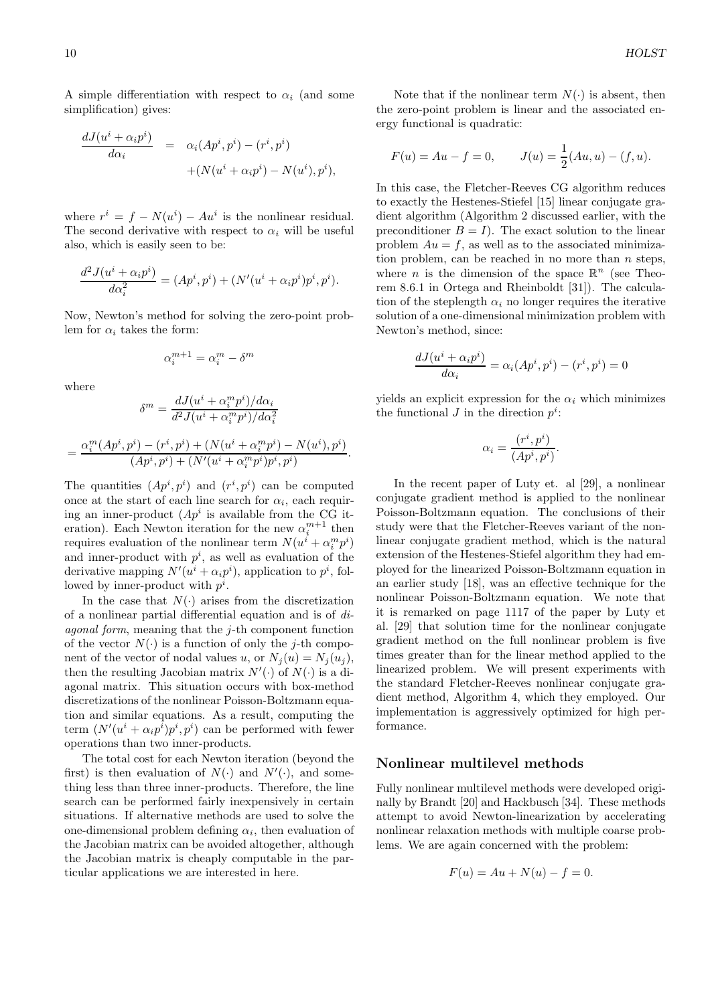A simple differentiation with respect to  $\alpha_i$  (and some simplification) gives:

$$
\frac{dJ(u^i + \alpha_i p^i)}{d\alpha_i} = \alpha_i (Ap^i, p^i) - (r^i, p^i)
$$
  
+ 
$$
(N(u^i + \alpha_i p^i) - N(u^i), p^i),
$$

where  $r^i = f - N(u^i) - Au^i$  is the nonlinear residual. The second derivative with respect to  $\alpha_i$  will be useful also, which is easily seen to be:

$$
\frac{d^2 J(u^i + \alpha_i p^i)}{d\alpha_i^2} = (Ap^i, p^i) + (N'(u^i + \alpha_i p^i)p^i, p^i).
$$

Now, Newton's method for solving the zero-point problem for  $\alpha_i$  takes the form:

$$
\alpha_i^{m+1} = \alpha_i^m - \delta^m
$$

where

$$
\delta^{m} = \frac{dJ(u^{i} + \alpha_{i}^{m} p^{i})/d\alpha_{i}}{d^{2} J(u^{i} + \alpha_{i}^{m} p^{i})/d\alpha_{i}^{2}}
$$

$$
= \frac{\alpha_{i}^{m} (Ap^{i}, p^{i}) - (r^{i}, p^{i}) + (N(u^{i} + \alpha_{i}^{m} p^{i}) - N(u^{i}), p^{i})}{(Ap^{i}, p^{i}) + (N'(u^{i} + \alpha_{i}^{m} p^{i}) p^{i}, p^{i})}
$$

.

The quantities  $(Ap^i, p^i)$  and  $(r^i, p^i)$  can be computed once at the start of each line search for  $\alpha_i$ , each requiring an inner-product  $(Ap^i)$  is available from the CG iteration). Each Newton iteration for the new  $\alpha_i^{m+1}$  then requires evaluation of the nonlinear term  $N(u^{i} + \alpha_i^{m} p^{i})$ and inner-product with  $p^i$ , as well as evaluation of the derivative mapping  $N'(u^i + \alpha_i p^i)$ , application to  $p^i$ , followed by inner-product with  $p^i$ .

In the case that  $N(\cdot)$  arises from the discretization of a nonlinear partial differential equation and is of diagonal form, meaning that the j-th component function of the vector  $N(\cdot)$  is a function of only the j-th component of the vector of nodal values u, or  $N_i(u) = N_i(u_i)$ , then the resulting Jacobian matrix  $N'(\cdot)$  of  $N(\cdot)$  is a diagonal matrix. This situation occurs with box-method discretizations of the nonlinear Poisson-Boltzmann equation and similar equations. As a result, computing the term  $(N'(u^i + \alpha_i p^i)p^i, p^i)$  can be performed with fewer operations than two inner-products.

The total cost for each Newton iteration (beyond the first) is then evaluation of  $N(\cdot)$  and  $N'(\cdot)$ , and something less than three inner-products. Therefore, the line search can be performed fairly inexpensively in certain situations. If alternative methods are used to solve the one-dimensional problem defining  $\alpha_i$ , then evaluation of the Jacobian matrix can be avoided altogether, although the Jacobian matrix is cheaply computable in the particular applications we are interested in here.

Note that if the nonlinear term  $N(\cdot)$  is absent, then the zero-point problem is linear and the associated energy functional is quadratic:

$$
F(u) = Au - f = 0, \qquad J(u) = \frac{1}{2}(Au, u) - (f, u).
$$

In this case, the Fletcher-Reeves CG algorithm reduces to exactly the Hestenes-Stiefel [15] linear conjugate gradient algorithm (Algorithm 2 discussed earlier, with the preconditioner  $B = I$ ). The exact solution to the linear problem  $Au = f$ , as well as to the associated minimization problem, can be reached in no more than  $n$  steps, where *n* is the dimension of the space  $\mathbb{R}^n$  (see Theorem 8.6.1 in Ortega and Rheinboldt [31]). The calculation of the steplength  $\alpha_i$  no longer requires the iterative solution of a one-dimensional minimization problem with Newton's method, since:

$$
\frac{dJ(u^i + \alpha_i p^i)}{d\alpha_i} = \alpha_i (Ap^i, p^i) - (r^i, p^i) = 0
$$

yields an explicit expression for the  $\alpha_i$  which minimizes the functional  $J$  in the direction  $p^i$ :

$$
\alpha_i = \frac{(r^i, p^i)}{(Ap^i, p^i)}.
$$

In the recent paper of Luty et. al [29], a nonlinear conjugate gradient method is applied to the nonlinear Poisson-Boltzmann equation. The conclusions of their study were that the Fletcher-Reeves variant of the nonlinear conjugate gradient method, which is the natural extension of the Hestenes-Stiefel algorithm they had employed for the linearized Poisson-Boltzmann equation in an earlier study [18], was an effective technique for the nonlinear Poisson-Boltzmann equation. We note that it is remarked on page 1117 of the paper by Luty et al. [29] that solution time for the nonlinear conjugate gradient method on the full nonlinear problem is five times greater than for the linear method applied to the linearized problem. We will present experiments with the standard Fletcher-Reeves nonlinear conjugate gradient method, Algorithm 4, which they employed. Our implementation is aggressively optimized for high performance.

## Nonlinear multilevel methods

Fully nonlinear multilevel methods were developed originally by Brandt [20] and Hackbusch [34]. These methods attempt to avoid Newton-linearization by accelerating nonlinear relaxation methods with multiple coarse problems. We are again concerned with the problem:

$$
F(u) = Au + N(u) - f = 0.
$$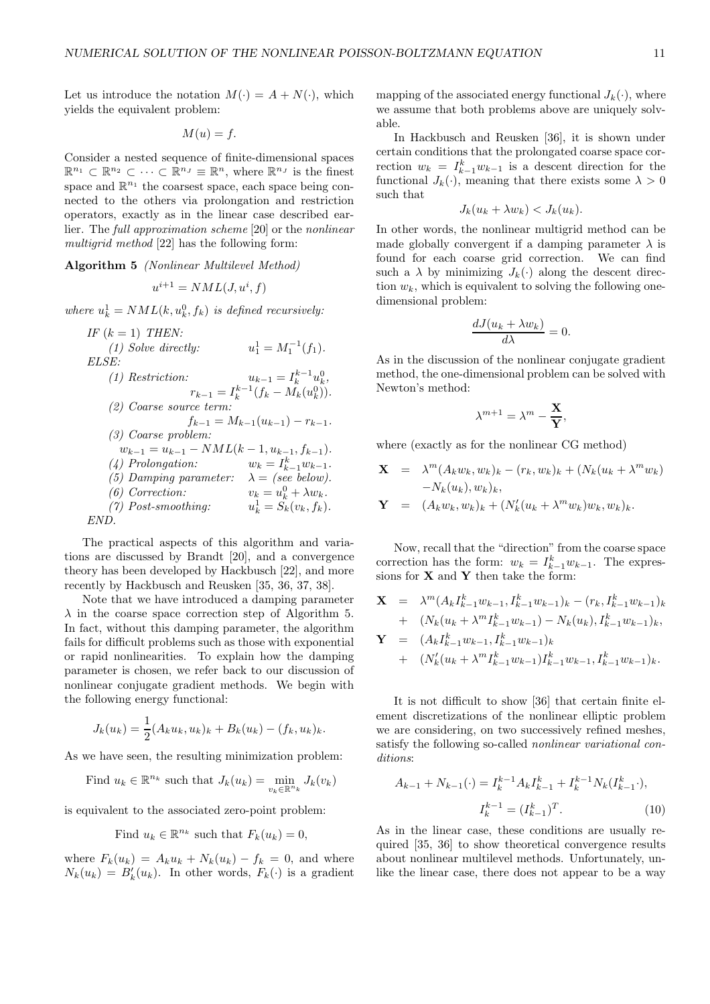Let us introduce the notation  $M(\cdot) = A + N(\cdot)$ , which yields the equivalent problem:

$$
M(u) = f.
$$

Consider a nested sequence of finite-dimensional spaces  $\mathbb{R}^{n_1} \subset \mathbb{R}^{n_2} \subset \cdots \subset \mathbb{R}^{n_J} \equiv \mathbb{R}^n$ , where  $\mathbb{R}^{n_J}$  is the finest space and  $\mathbb{R}^{n_1}$  the coarsest space, each space being connected to the others via prolongation and restriction operators, exactly as in the linear case described earlier. The full approximation scheme [20] or the nonlinear multigrid method [22] has the following form:

Algorithm 5 (Nonlinear Multilevel Method)

$$
u^{i+1} = NML(J, u^i, f)
$$

where  $u_k^1 = NML(k, u_k^0, f_k)$  is defined recursively:

IF  $(k = 1)$  THEN:  $(1)$  Solve directly:  $_1^1 = M_1^{-1}(f_1).$ ELSE: (1) Restriction:  $u_{k-1} = I_k^{k-1} u_k^0,$  $r_{k-1} = I_k^{k-1}(f_k - M_k(u_k^0)).$ (2) Coarse source term:  $f_{k-1} = M_{k-1}(u_{k-1}) - r_{k-1}.$ (3) Coarse problem:  $w_{k-1} = u_{k-1} - NML(k-1, u_{k-1}, f_{k-1}).$  $(4)$  Prolongation:  $k^{k}_{k-1}$   $w_{k-1}$ .  $(5)$  Damping parameter:  $(6)$  Correction:  $k_k = u_k^0 + \lambda w_k.$ <br>  $k_k^1 = S_k(v_k, f_k).$  $(7)$  Post-smoothing: END.

The practical aspects of this algorithm and variations are discussed by Brandt [20], and a convergence theory has been developed by Hackbusch [22], and more recently by Hackbusch and Reusken [35, 36, 37, 38].

Note that we have introduced a damping parameter  $\lambda$  in the coarse space correction step of Algorithm 5. In fact, without this damping parameter, the algorithm fails for difficult problems such as those with exponential or rapid nonlinearities. To explain how the damping parameter is chosen, we refer back to our discussion of nonlinear conjugate gradient methods. We begin with the following energy functional:

$$
J_k(u_k) = \frac{1}{2}(A_k u_k, u_k)_k + B_k(u_k) - (f_k, u_k)_k.
$$

As we have seen, the resulting minimization problem:

Find  $u_k \in \mathbb{R}^{n_k}$  such that  $J_k(u_k) = \min_{v_k \in \mathbb{R}^{n_k}} J_k(v_k)$ 

is equivalent to the associated zero-point problem:

Find 
$$
u_k \in \mathbb{R}^{n_k}
$$
 such that  $F_k(u_k) = 0$ ,

where  $F_k(u_k) = A_k u_k + N_k(u_k) - f_k = 0$ , and where  $N_k(u_k) = B'_k(u_k)$ . In other words,  $F_k(\cdot)$  is a gradient

mapping of the associated energy functional  $J_k(\cdot)$ , where we assume that both problems above are uniquely solvable.

In Hackbusch and Reusken [36], it is shown under certain conditions that the prolongated coarse space correction  $w_k = I_{k-1}^k w_{k-1}$  is a descent direction for the functional  $J_k(\cdot)$ , meaning that there exists some  $\lambda > 0$ such that

$$
J_k(u_k + \lambda w_k) < J_k(u_k).
$$

In other words, the nonlinear multigrid method can be made globally convergent if a damping parameter  $\lambda$  is found for each coarse grid correction. We can find such a  $\lambda$  by minimizing  $J_k(\cdot)$  along the descent direction  $w_k$ , which is equivalent to solving the following onedimensional problem:

$$
\frac{dJ(u_k + \lambda w_k)}{d\lambda} = 0.
$$

As in the discussion of the nonlinear conjugate gradient method, the one-dimensional problem can be solved with Newton's method:

$$
\lambda^{m+1}=\lambda^m-\frac{\mathbf{X}}{\mathbf{Y}},
$$

where (exactly as for the nonlinear CG method)

$$
\mathbf{X} = \lambda^m (A_k w_k, w_k)_k - (r_k, w_k)_k + (N_k (u_k + \lambda^m w_k) - N_k (u_k), w_k)_k,
$$
  

$$
\mathbf{Y} = (A_k w_k, w_k)_k + (N'_k (u_k + \lambda^m w_k) w_k, w_k)_k.
$$

Now, recall that the "direction" from the coarse space correction has the form:  $w_k = I_{k-1}^k w_{k-1}$ . The expressions for  $\mathbf X$  and  $\mathbf Y$  then take the form:

$$
\mathbf{X} = \lambda^{m} (A_{k} I_{k-1}^{k} w_{k-1}, I_{k-1}^{k} w_{k-1})_{k} - (r_{k}, I_{k-1}^{k} w_{k-1})_{k}
$$
  
+ 
$$
(N_{k} (u_{k} + \lambda^{m} I_{k-1}^{k} w_{k-1}) - N_{k} (u_{k}), I_{k-1}^{k} w_{k-1})_{k},
$$
  

$$
\mathbf{Y} = (A_{k} I_{k-1}^{k} w_{k-1}, I_{k-1}^{k} w_{k-1})_{k}
$$
  
+ 
$$
(N'_{k} (u_{k} + \lambda^{m} I_{k-1}^{k} w_{k-1}) I_{k-1}^{k} w_{k-1}, I_{k-1}^{k} w_{k-1})_{k}.
$$

It is not difficult to show [36] that certain finite element discretizations of the nonlinear elliptic problem we are considering, on two successively refined meshes, satisfy the following so-called *nonlinear variational con*ditions:

$$
A_{k-1} + N_{k-1}(\cdot) = I_k^{k-1} A_k I_{k-1}^k + I_k^{k-1} N_k (I_{k-1}^k \cdot),
$$
  

$$
I_k^{k-1} = (I_{k-1}^k)^T.
$$
 (10)

As in the linear case, these conditions are usually required [35, 36] to show theoretical convergence results about nonlinear multilevel methods. Unfortunately, unlike the linear case, there does not appear to be a way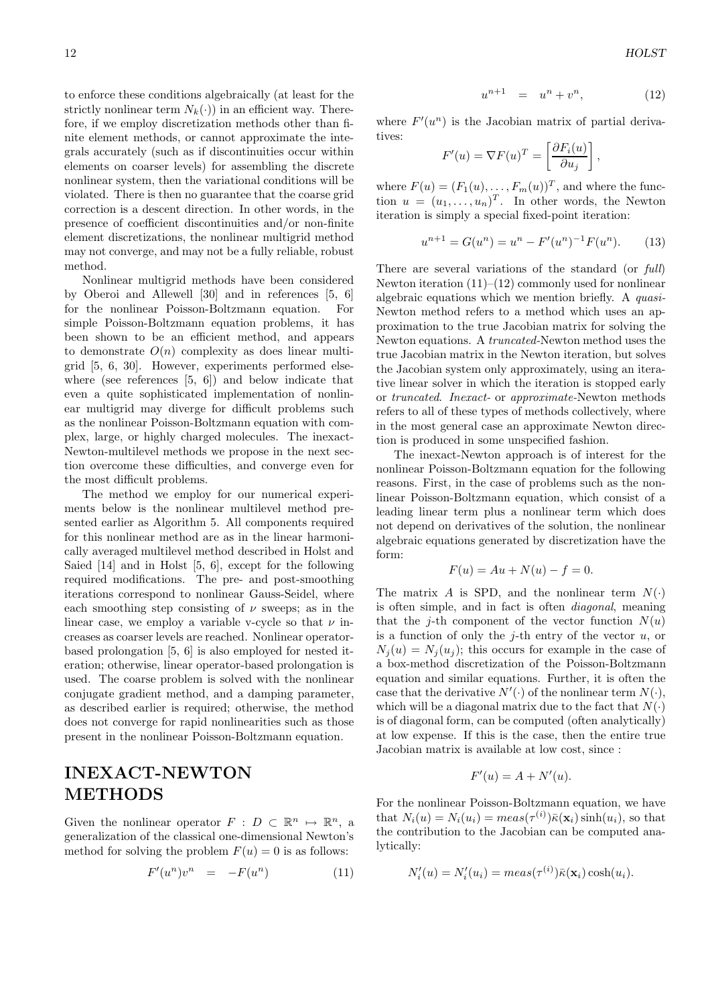to enforce these conditions algebraically (at least for the strictly nonlinear term  $N_k(\cdot)$  in an efficient way. Therefore, if we employ discretization methods other than finite element methods, or cannot approximate the integrals accurately (such as if discontinuities occur within elements on coarser levels) for assembling the discrete nonlinear system, then the variational conditions will be violated. There is then no guarantee that the coarse grid correction is a descent direction. In other words, in the presence of coefficient discontinuities and/or non-finite element discretizations, the nonlinear multigrid method may not converge, and may not be a fully reliable, robust method.

Nonlinear multigrid methods have been considered by Oberoi and Allewell [30] and in references [5, 6] for the nonlinear Poisson-Boltzmann equation. For simple Poisson-Boltzmann equation problems, it has been shown to be an efficient method, and appears to demonstrate  $O(n)$  complexity as does linear multigrid [5, 6, 30]. However, experiments performed elsewhere (see references [5, 6]) and below indicate that even a quite sophisticated implementation of nonlinear multigrid may diverge for difficult problems such as the nonlinear Poisson-Boltzmann equation with complex, large, or highly charged molecules. The inexact-Newton-multilevel methods we propose in the next section overcome these difficulties, and converge even for the most difficult problems.

The method we employ for our numerical experiments below is the nonlinear multilevel method presented earlier as Algorithm 5. All components required for this nonlinear method are as in the linear harmonically averaged multilevel method described in Holst and Saied [14] and in Holst [5, 6], except for the following required modifications. The pre- and post-smoothing iterations correspond to nonlinear Gauss-Seidel, where each smoothing step consisting of  $\nu$  sweeps; as in the linear case, we employ a variable v-cycle so that  $\nu$  increases as coarser levels are reached. Nonlinear operatorbased prolongation [5, 6] is also employed for nested iteration; otherwise, linear operator-based prolongation is used. The coarse problem is solved with the nonlinear conjugate gradient method, and a damping parameter, as described earlier is required; otherwise, the method does not converge for rapid nonlinearities such as those present in the nonlinear Poisson-Boltzmann equation.

# INEXACT-NEWTON METHODS

Given the nonlinear operator  $F : D \subset \mathbb{R}^n \mapsto \mathbb{R}^n$ , a generalization of the classical one-dimensional Newton's method for solving the problem  $F(u) = 0$  is as follows:

$$
F'(u^n)v^n = -F(u^n) \tag{11}
$$

$$
u^{n+1} = u^n + v^n, \t\t(12)
$$

where  $F'(u^n)$  is the Jacobian matrix of partial derivatives:

$$
F'(u) = \nabla F(u)^T = \left[\frac{\partial F_i(u)}{\partial u_j}\right],
$$

where  $F(u) = (F_1(u), \ldots, F_m(u))^T$ , and where the function  $u = (u_1, \ldots, u_n)^T$ . In other words, the Newton iteration is simply a special fixed-point iteration:

$$
u^{n+1} = G(u^n) = u^n - F'(u^n)^{-1}F(u^n). \tag{13}
$$

There are several variations of the standard (or full) Newton iteration  $(11)–(12)$  commonly used for nonlinear algebraic equations which we mention briefly. A quasi-Newton method refers to a method which uses an approximation to the true Jacobian matrix for solving the Newton equations. A truncated-Newton method uses the true Jacobian matrix in the Newton iteration, but solves the Jacobian system only approximately, using an iterative linear solver in which the iteration is stopped early or truncated. Inexact- or approximate-Newton methods refers to all of these types of methods collectively, where in the most general case an approximate Newton direction is produced in some unspecified fashion.

The inexact-Newton approach is of interest for the nonlinear Poisson-Boltzmann equation for the following reasons. First, in the case of problems such as the nonlinear Poisson-Boltzmann equation, which consist of a leading linear term plus a nonlinear term which does not depend on derivatives of the solution, the nonlinear algebraic equations generated by discretization have the form:

$$
F(u) = Au + N(u) - f = 0.
$$

The matrix A is SPD, and the nonlinear term  $N(\cdot)$ is often simple, and in fact is often diagonal, meaning that the *j*-th component of the vector function  $N(u)$ is a function of only the *j*-th entry of the vector  $u$ , or  $N_i(u) = N_i(u_i)$ ; this occurs for example in the case of a box-method discretization of the Poisson-Boltzmann equation and similar equations. Further, it is often the case that the derivative  $N'(\cdot)$  of the nonlinear term  $N(\cdot)$ , which will be a diagonal matrix due to the fact that  $N(\cdot)$ is of diagonal form, can be computed (often analytically) at low expense. If this is the case, then the entire true Jacobian matrix is available at low cost, since :

$$
F'(u) = A + N'(u).
$$

For the nonlinear Poisson-Boltzmann equation, we have that  $N_i(u) = N_i(u_i) = meas(\tau^{(i)})\bar{\kappa}(\mathbf{x}_i)\sinh(u_i)$ , so that the contribution to the Jacobian can be computed analytically:

$$
N'_{i}(u) = N'_{i}(u_{i}) = meas(\tau^{(i)})\bar{\kappa}(\mathbf{x}_{i})\cosh(u_{i}).
$$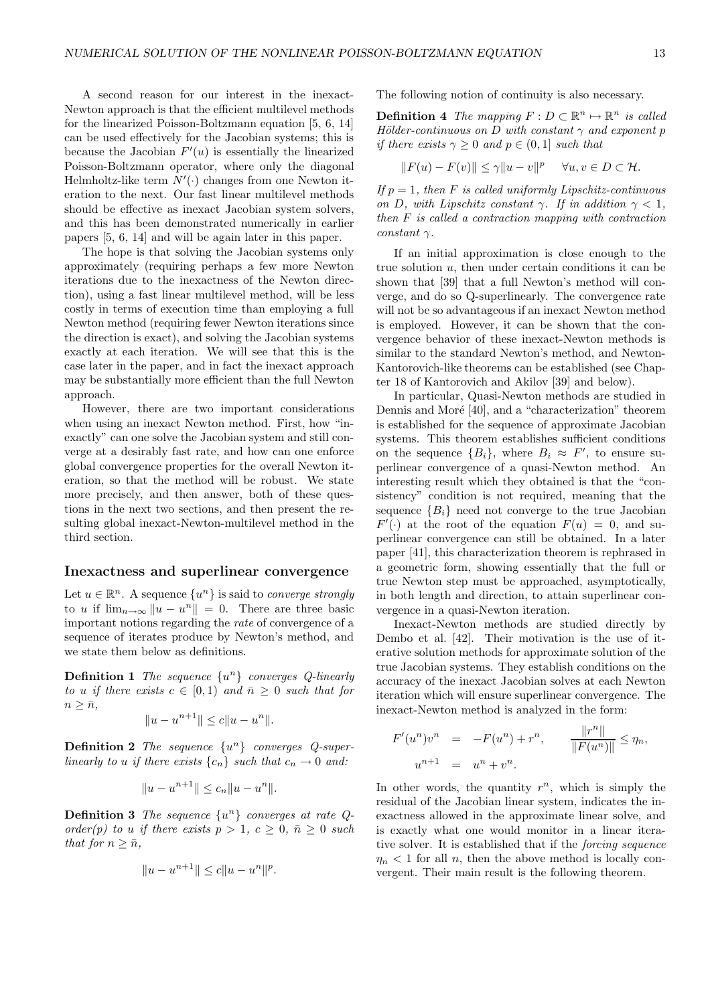A second reason for our interest in the inexact-Newton approach is that the efficient multilevel methods for the linearized Poisson-Boltzmann equation [5, 6, 14] can be used effectively for the Jacobian systems; this is because the Jacobian  $F'(u)$  is essentially the linearized Poisson-Boltzmann operator, where only the diagonal Helmholtz-like term  $N'(\cdot)$  changes from one Newton iteration to the next. Our fast linear multilevel methods should be effective as inexact Jacobian system solvers, and this has been demonstrated numerically in earlier papers [5, 6, 14] and will be again later in this paper.

The hope is that solving the Jacobian systems only approximately (requiring perhaps a few more Newton iterations due to the inexactness of the Newton direction), using a fast linear multilevel method, will be less costly in terms of execution time than employing a full Newton method (requiring fewer Newton iterations since the direction is exact), and solving the Jacobian systems exactly at each iteration. We will see that this is the case later in the paper, and in fact the inexact approach may be substantially more efficient than the full Newton approach.

However, there are two important considerations when using an inexact Newton method. First, how "inexactly" can one solve the Jacobian system and still converge at a desirably fast rate, and how can one enforce global convergence properties for the overall Newton iteration, so that the method will be robust. We state more precisely, and then answer, both of these questions in the next two sections, and then present the resulting global inexact-Newton-multilevel method in the third section.

#### Inexactness and superlinear convergence

Let  $u \in \mathbb{R}^n$ . A sequence  $\{u^n\}$  is said to *converge strongly* to u if  $\lim_{n\to\infty} ||u - u^n|| = 0$ . There are three basic important notions regarding the rate of convergence of a sequence of iterates produce by Newton's method, and we state them below as definitions.

**Definition 1** The sequence  $\{u^n\}$  converges Q-linearly to u if there exists  $c \in [0,1)$  and  $\bar{n} \geq 0$  such that for  $n \geq \bar{n}$ ,

$$
||u - u^{n+1}|| \le c||u - u^n||.
$$

**Definition 2** The sequence  $\{u^n\}$  converges Q-superlinearly to u if there exists  $\{c_n\}$  such that  $c_n \to 0$  and:

$$
||u - u^{n+1}|| \le c_n ||u - u^n||.
$$

**Definition 3** The sequence  $\{u^n\}$  converges at rate Qorder(p) to u if there exists  $p > 1$ ,  $c \geq 0$ ,  $\bar{n} \geq 0$  such that for  $n > \bar{n}$ ,

$$
||u - u^{n+1}|| \le c||u - u^n||^p.
$$

The following notion of continuity is also necessary.

**Definition 4** The mapping  $F: D \subset \mathbb{R}^n \mapsto \mathbb{R}^n$  is called Hölder-continuous on D with constant  $\gamma$  and exponent p if there exists  $\gamma \geq 0$  and  $p \in (0,1]$  such that

$$
||F(u) - F(v)|| \le \gamma ||u - v||^p \quad \forall u, v \in D \subset \mathcal{H}.
$$

If  $p = 1$ , then F is called uniformly Lipschitz-continuous on D, with Lipschitz constant  $\gamma$ . If in addition  $\gamma < 1$ , then F is called a contraction mapping with contraction constant  $\gamma$ .

If an initial approximation is close enough to the true solution  $u$ , then under certain conditions it can be shown that [39] that a full Newton's method will converge, and do so Q-superlinearly. The convergence rate will not be so advantageous if an inexact Newton method is employed. However, it can be shown that the convergence behavior of these inexact-Newton methods is similar to the standard Newton's method, and Newton-Kantorovich-like theorems can be established (see Chapter 18 of Kantorovich and Akilov [39] and below).

In particular, Quasi-Newton methods are studied in Dennis and Moré [40], and a "characterization" theorem is established for the sequence of approximate Jacobian systems. This theorem establishes sufficient conditions on the sequence  ${B_i}$ , where  $B_i \approx F'$ , to ensure superlinear convergence of a quasi-Newton method. An interesting result which they obtained is that the "consistency" condition is not required, meaning that the sequence  ${B_i}$  need not converge to the true Jacobian  $F'(\cdot)$  at the root of the equation  $F(u) = 0$ , and superlinear convergence can still be obtained. In a later paper [41], this characterization theorem is rephrased in a geometric form, showing essentially that the full or true Newton step must be approached, asymptotically, in both length and direction, to attain superlinear convergence in a quasi-Newton iteration.

Inexact-Newton methods are studied directly by Dembo et al. [42]. Their motivation is the use of iterative solution methods for approximate solution of the true Jacobian systems. They establish conditions on the accuracy of the inexact Jacobian solves at each Newton iteration which will ensure superlinear convergence. The inexact-Newton method is analyzed in the form:

$$
F'(u^{n})v^{n} = -F(u^{n}) + r^{n}, \qquad \frac{\|r^{n}\|}{\|F(u^{n})\|} \leq \eta_{n},
$$
  

$$
u^{n+1} = u^{n} + v^{n}.
$$

In other words, the quantity  $r^n$ , which is simply the residual of the Jacobian linear system, indicates the inexactness allowed in the approximate linear solve, and is exactly what one would monitor in a linear iterative solver. It is established that if the forcing sequence  $\eta_n < 1$  for all n, then the above method is locally convergent. Their main result is the following theorem.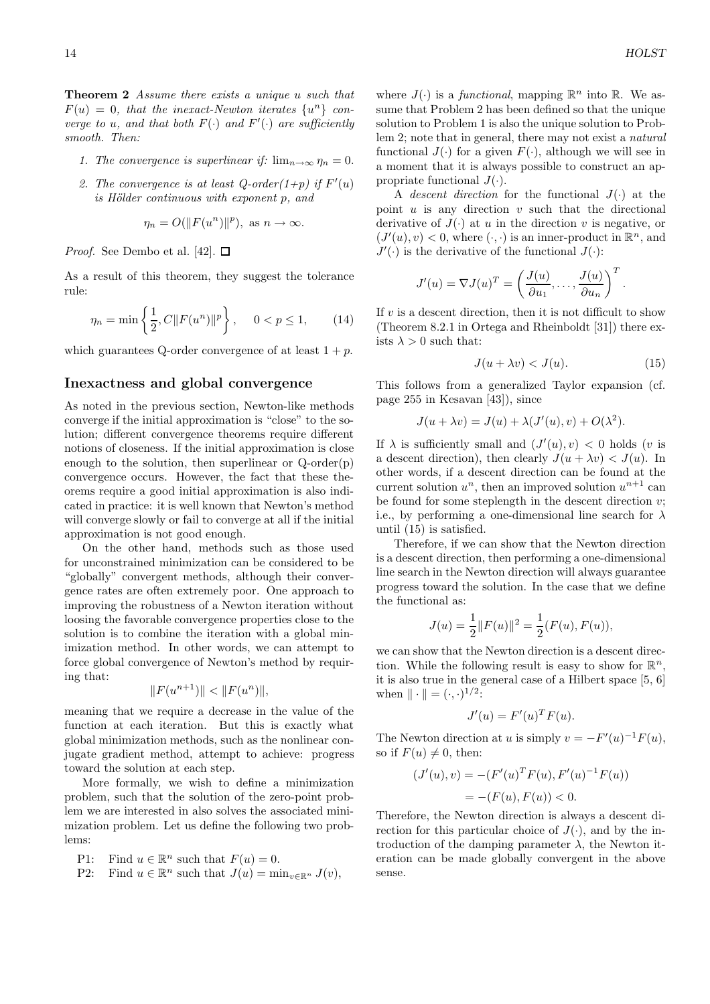**Theorem 2** Assume there exists a unique u such that  $F(u) = 0$ , that the inexact-Newton iterates  $\{u^n\}$  converge to u, and that both  $F(\cdot)$  and  $F'(\cdot)$  are sufficiently smooth. Then:

- 1. The convergence is superlinear if:  $\lim_{n\to\infty} \eta_n = 0$ .
- 2. The convergence is at least  $Q$ -order $(1+p)$  if  $F'(u)$  $is$  Hölder continuous with exponent  $p$ , and

$$
\eta_n = O(||F(u^n)||^p), \text{ as } n \to \infty.
$$

*Proof.* See Dembo et al. [42].  $\Box$ 

As a result of this theorem, they suggest the tolerance rule:

$$
\eta_n = \min\left\{\frac{1}{2}, C \|F(u^n)\|^p\right\}, \quad 0 < p \le 1,\tag{14}
$$

which guarantees Q-order convergence of at least  $1 + p$ .

## Inexactness and global convergence

As noted in the previous section, Newton-like methods converge if the initial approximation is "close" to the solution; different convergence theorems require different notions of closeness. If the initial approximation is close enough to the solution, then superlinear or  $Q$ -order $(p)$ convergence occurs. However, the fact that these theorems require a good initial approximation is also indicated in practice: it is well known that Newton's method will converge slowly or fail to converge at all if the initial approximation is not good enough.

On the other hand, methods such as those used for unconstrained minimization can be considered to be "globally" convergent methods, although their convergence rates are often extremely poor. One approach to improving the robustness of a Newton iteration without loosing the favorable convergence properties close to the solution is to combine the iteration with a global minimization method. In other words, we can attempt to force global convergence of Newton's method by requiring that:

$$
||F(u^{n+1})|| < ||F(u^n)||,
$$

meaning that we require a decrease in the value of the function at each iteration. But this is exactly what global minimization methods, such as the nonlinear conjugate gradient method, attempt to achieve: progress toward the solution at each step.

More formally, we wish to define a minimization problem, such that the solution of the zero-point problem we are interested in also solves the associated minimization problem. Let us define the following two problems:

- P1: Find  $u \in \mathbb{R}^n$  such that  $F(u) = 0$ .
- P2: Find  $u \in \mathbb{R}^n$  such that  $J(u) = \min_{v \in \mathbb{R}^n} J(v)$ ,

where  $J(\cdot)$  is a *functional*, mapping  $\mathbb{R}^n$  into  $\mathbb{R}$ . We assume that Problem 2 has been defined so that the unique solution to Problem 1 is also the unique solution to Problem 2; note that in general, there may not exist a natural functional  $J(\cdot)$  for a given  $F(\cdot)$ , although we will see in a moment that it is always possible to construct an appropriate functional  $J(\cdot)$ .

A descent direction for the functional  $J(\cdot)$  at the point  $u$  is any direction  $v$  such that the directional derivative of  $J(\cdot)$  at u in the direction v is negative, or  $(J'(u), v) < 0$ , where  $(\cdot, \cdot)$  is an inner-product in  $\mathbb{R}^n$ , and  $J'(\cdot)$  is the derivative of the functional  $J(\cdot)$ :

$$
J'(u) = \nabla J(u)^T = \left(\frac{J(u)}{\partial u_1}, \dots, \frac{J(u)}{\partial u_n}\right)^T.
$$

If  $v$  is a descent direction, then it is not difficult to show (Theorem 8.2.1 in Ortega and Rheinboldt [31]) there exists  $\lambda > 0$  such that:

$$
J(u + \lambda v) < J(u). \tag{15}
$$

This follows from a generalized Taylor expansion (cf. page 255 in Kesavan [43]), since

$$
J(u + \lambda v) = J(u) + \lambda (J'(u), v) + O(\lambda^{2}).
$$

If  $\lambda$  is sufficiently small and  $(J'(u), v) < 0$  holds (v is a descent direction), then clearly  $J(u + \lambda v) < J(u)$ . In other words, if a descent direction can be found at the current solution  $u^n$ , then an improved solution  $u^{n+1}$  can be found for some steplength in the descent direction  $v$ ; i.e., by performing a one-dimensional line search for  $\lambda$ until (15) is satisfied.

Therefore, if we can show that the Newton direction is a descent direction, then performing a one-dimensional line search in the Newton direction will always guarantee progress toward the solution. In the case that we define the functional as:

$$
J(u) = \frac{1}{2} ||F(u)||^2 = \frac{1}{2}(F(u), F(u)),
$$

we can show that the Newton direction is a descent direction. While the following result is easy to show for  $\mathbb{R}^n$ , it is also true in the general case of a Hilbert space [5, 6] when  $\|\cdot\| = (\cdot, \cdot)^{1/2}$ :

$$
J'(u) = F'(u)^T F(u).
$$

The Newton direction at u is simply  $v = -F'(u)^{-1}F(u)$ , so if  $F(u) \neq 0$ , then:

$$
(J'(u), v) = -(F'(u)^T F(u), F'(u)^{-1} F(u))
$$
  
= -(F(u), F(u)) < 0.

Therefore, the Newton direction is always a descent direction for this particular choice of  $J(\cdot)$ , and by the introduction of the damping parameter  $\lambda$ , the Newton iteration can be made globally convergent in the above sense.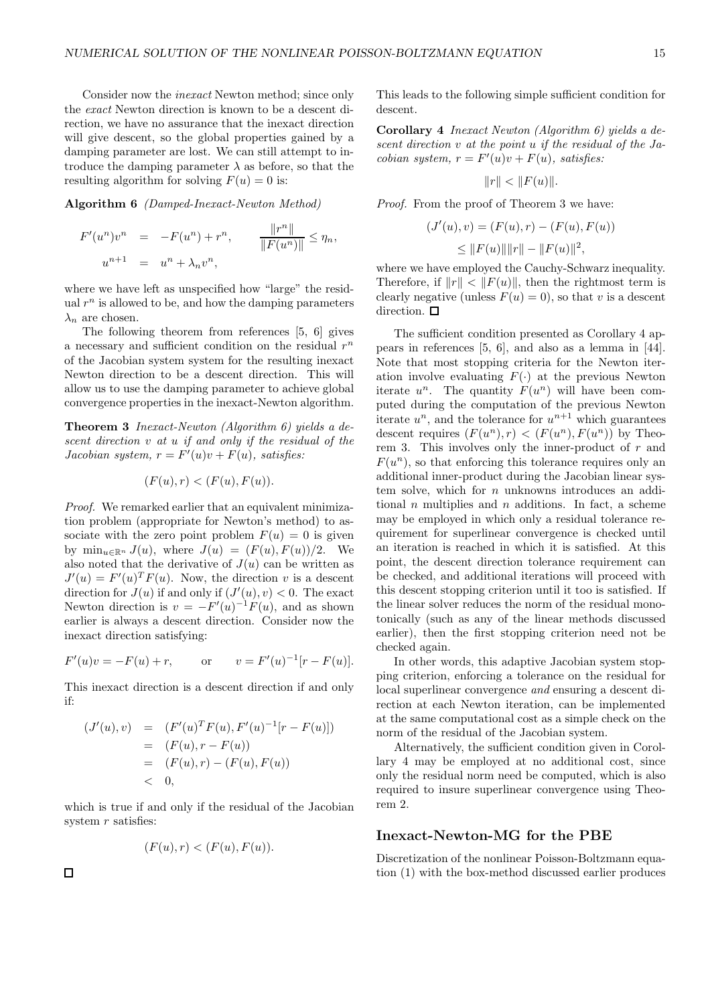Consider now the inexact Newton method; since only the exact Newton direction is known to be a descent direction, we have no assurance that the inexact direction will give descent, so the global properties gained by a damping parameter are lost. We can still attempt to introduce the damping parameter  $\lambda$  as before, so that the resulting algorithm for solving  $F(u) = 0$  is:

Algorithm 6 (Damped-Inexact-Newton Method)

$$
F'(u^{n})v^{n} = -F(u^{n}) + r^{n}, \qquad \frac{\|r^{n}\|}{\|F(u^{n})\|} \leq \eta_{n},
$$
  

$$
u^{n+1} = u^{n} + \lambda_{n}v^{n},
$$

where we have left as unspecified how "large" the residual  $r<sup>n</sup>$  is allowed to be, and how the damping parameters  $\lambda_n$  are chosen.

The following theorem from references [5, 6] gives a necessary and sufficient condition on the residual  $r^n$ of the Jacobian system system for the resulting inexact Newton direction to be a descent direction. This will allow us to use the damping parameter to achieve global convergence properties in the inexact-Newton algorithm.

Theorem 3 Inexact-Newton (Algorithm 6) yields a descent direction v at u if and only if the residual of the Jacobian system,  $r = F'(u)v + F(u)$ , satisfies:

$$
(F(u), r) < (F(u), F(u)).
$$

Proof. We remarked earlier that an equivalent minimization problem (appropriate for Newton's method) to associate with the zero point problem  $F(u) = 0$  is given by  $\min_{u \in \mathbb{R}^n} J(u)$ , where  $J(u) = (F(u), F(u))/2$ . We also noted that the derivative of  $J(u)$  can be written as  $J'(u) = F'(u)^T F(u)$ . Now, the direction v is a descent direction for  $J(u)$  if and only if  $(J'(u), v) < 0$ . The exact Newton direction is  $v = -F'(u)^{-1}F(u)$ , and as shown earlier is always a descent direction. Consider now the inexact direction satisfying:

$$
F'(u)v = -F(u) + r
$$
, or  $v = F'(u)^{-1}[r - F(u)].$ 

This inexact direction is a descent direction if and only if:

$$
(J'(u), v) = (F'(u)^T F(u), F'(u)^{-1}[r - F(u)])
$$
  
= (F(u), r - F(u))  
= (F(u), r) - (F(u), F(u))  
< 0,

which is true if and only if the residual of the Jacobian system  $r$  satisfies:

$$
(F(u), r) < (F(u), F(u)).
$$

This leads to the following simple sufficient condition for descent.

Corollary 4 Inexact Newton (Algorithm 6) yields a descent direction v at the point u if the residual of the Jacobian system,  $r = F'(u)v + F(u)$ , satisfies:

$$
||r|| < ||F(u)||.
$$

Proof. From the proof of Theorem 3 we have:

$$
(J'(u), v) = (F(u), r) - (F(u), F(u))
$$
  

$$
\leq ||F(u)|| ||r|| - ||F(u)||^2,
$$

where we have employed the Cauchy-Schwarz inequality. Therefore, if  $||r|| < ||F(u)||$ , then the rightmost term is clearly negative (unless  $F(u) = 0$ ), so that v is a descent direction.  $\square$ 

The sufficient condition presented as Corollary 4 appears in references [5, 6], and also as a lemma in [44]. Note that most stopping criteria for the Newton iteration involve evaluating  $F(.)$  at the previous Newton iterate  $u^n$ . The quantity  $F(u^n)$  will have been computed during the computation of the previous Newton iterate  $u^n$ , and the tolerance for  $u^{n+1}$  which guarantees descent requires  $(F(u^n), r) < (F(u^n), F(u^n))$  by Theorem 3. This involves only the inner-product of  $r$  and  $F(u^n)$ , so that enforcing this tolerance requires only an additional inner-product during the Jacobian linear system solve, which for  $n$  unknowns introduces an additional  $n$  multiplies and  $n$  additions. In fact, a scheme may be employed in which only a residual tolerance requirement for superlinear convergence is checked until an iteration is reached in which it is satisfied. At this point, the descent direction tolerance requirement can be checked, and additional iterations will proceed with this descent stopping criterion until it too is satisfied. If the linear solver reduces the norm of the residual monotonically (such as any of the linear methods discussed earlier), then the first stopping criterion need not be checked again.

In other words, this adaptive Jacobian system stopping criterion, enforcing a tolerance on the residual for local superlinear convergence and ensuring a descent direction at each Newton iteration, can be implemented at the same computational cost as a simple check on the norm of the residual of the Jacobian system.

Alternatively, the sufficient condition given in Corollary 4 may be employed at no additional cost, since only the residual norm need be computed, which is also required to insure superlinear convergence using Theorem 2.

## Inexact-Newton-MG for the PBE

Discretization of the nonlinear Poisson-Boltzmann equation (1) with the box-method discussed earlier produces

 $\Box$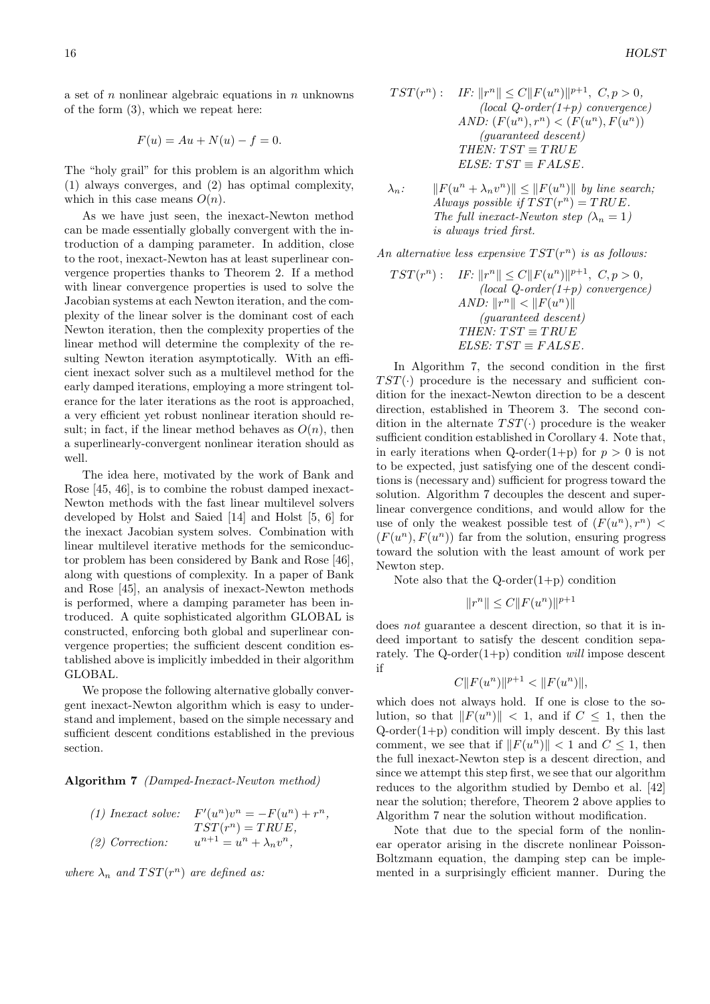a set of  $n$  nonlinear algebraic equations in  $n$  unknowns of the form (3), which we repeat here:

$$
F(u) = Au + N(u) - f = 0.
$$

The "holy grail" for this problem is an algorithm which (1) always converges, and (2) has optimal complexity, which in this case means  $O(n)$ .

As we have just seen, the inexact-Newton method can be made essentially globally convergent with the introduction of a damping parameter. In addition, close to the root, inexact-Newton has at least superlinear convergence properties thanks to Theorem 2. If a method with linear convergence properties is used to solve the Jacobian systems at each Newton iteration, and the complexity of the linear solver is the dominant cost of each Newton iteration, then the complexity properties of the linear method will determine the complexity of the resulting Newton iteration asymptotically. With an efficient inexact solver such as a multilevel method for the early damped iterations, employing a more stringent tolerance for the later iterations as the root is approached, a very efficient yet robust nonlinear iteration should result; in fact, if the linear method behaves as  $O(n)$ , then a superlinearly-convergent nonlinear iteration should as well

The idea here, motivated by the work of Bank and Rose [45, 46], is to combine the robust damped inexact-Newton methods with the fast linear multilevel solvers developed by Holst and Saied [14] and Holst [5, 6] for the inexact Jacobian system solves. Combination with linear multilevel iterative methods for the semiconductor problem has been considered by Bank and Rose [46], along with questions of complexity. In a paper of Bank and Rose [45], an analysis of inexact-Newton methods is performed, where a damping parameter has been introduced. A quite sophisticated algorithm GLOBAL is constructed, enforcing both global and superlinear convergence properties; the sufficient descent condition established above is implicitly imbedded in their algorithm GLOBAL.

We propose the following alternative globally convergent inexact-Newton algorithm which is easy to understand and implement, based on the simple necessary and sufficient descent conditions established in the previous section.

Algorithm 7 (Damped-Inexact-Newton method)

| $(1)$ Inexact solve: | $F'(u^n)v^n = -F(u^n) + r^n,$    |
|----------------------|----------------------------------|
|                      | $TST(r^n) = TRUE,$               |
| $(2)$ Correction:    | $u^{n+1} = u^n + \lambda_n v^n,$ |

where  $\lambda_n$  and  $TST(r^n)$  are defined as:

$$
TST(r^n):
$$
 IF:  $||r^n|| \leq C||F(u^n)||^{p+1}$ ,  $C, p > 0$ ,  
\n*(local Q-order(1+p) convergence)*  
\nAND:  $(F(u^n), r^n) < (F(u^n), F(u^n))$   
\n*(guaranteed descent)*  
\nTHEN:  $TST \equiv TRUE$   
\nELSE:  $TST \equiv FALSE$ .

$$
\lambda_n:
$$
  $||F(u^n + \lambda_n v^n)|| \le ||F(u^n)||$  by line search;  
Always possible if TST( $r^n$ ) = TRUE.  
The full inexact-Newton step ( $\lambda_n = 1$ )  
is always tried first.

An alternative less expensive  $TST(r^n)$  is as follows:

$$
TST(r^n): \quad IF: \|r^n\| \le C \|F(u^n)\|^{p+1}, \ C, p > 0,
$$
  
\n*(local Q-order(1+p) convergence)*  
\n
$$
AND: \|r^n\| < \|F(u^n)\|
$$
  
\n*(guaranteed descent)*  
\nTHEN: 
$$
TST \equiv TRUE
$$
  
\nELSE: 
$$
TST \equiv FALSE.
$$

In Algorithm 7, the second condition in the first  $TST(\cdot)$  procedure is the necessary and sufficient condition for the inexact-Newton direction to be a descent direction, established in Theorem 3. The second condition in the alternate  $TST(\cdot)$  procedure is the weaker sufficient condition established in Corollary 4. Note that, in early iterations when Q-order(1+p) for  $p > 0$  is not to be expected, just satisfying one of the descent conditions is (necessary and) sufficient for progress toward the solution. Algorithm 7 decouples the descent and superlinear convergence conditions, and would allow for the use of only the weakest possible test of  $(F(u^n), r^n)$  <  $(F(u^n), F(u^n))$  far from the solution, ensuring progress toward the solution with the least amount of work per Newton step.

Note also that the  $Q$ -order $(1+p)$  condition

$$
||r^n|| \le C ||F(u^n)||^{p+1}
$$

does not guarantee a descent direction, so that it is indeed important to satisfy the descent condition separately. The Q-order $(1+p)$  condition will impose descent if

$$
C||F(u^n)||^{p+1} < ||F(u^n)||,
$$

which does not always hold. If one is close to the solution, so that  $||F(u^n)|| < 1$ , and if  $C \leq 1$ , then the  $Q\text{-order}(1+p)$  condition will imply descent. By this last comment, we see that if  $||F(u^n)|| < 1$  and  $C \leq 1$ , then the full inexact-Newton step is a descent direction, and since we attempt this step first, we see that our algorithm reduces to the algorithm studied by Dembo et al. [42] near the solution; therefore, Theorem 2 above applies to Algorithm 7 near the solution without modification.

Note that due to the special form of the nonlinear operator arising in the discrete nonlinear Poisson-Boltzmann equation, the damping step can be implemented in a surprisingly efficient manner. During the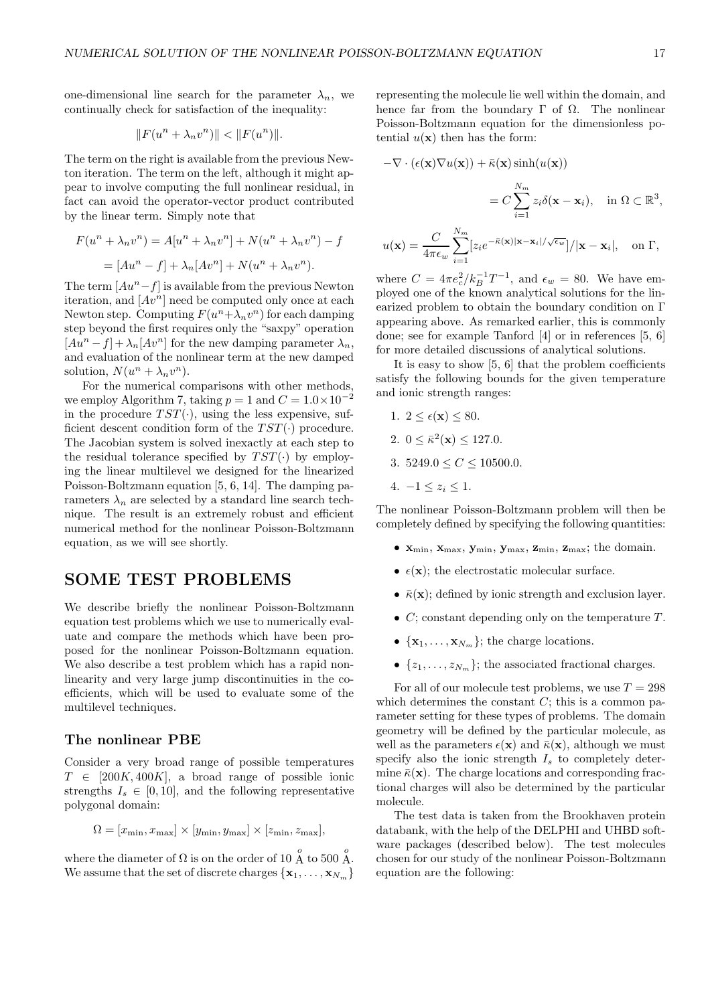one-dimensional line search for the parameter  $\lambda_n$ , we continually check for satisfaction of the inequality:

$$
||F(u^n + \lambda_n v^n)|| < ||F(u^n)||.
$$

The term on the right is available from the previous Newton iteration. The term on the left, although it might appear to involve computing the full nonlinear residual, in fact can avoid the operator-vector product contributed by the linear term. Simply note that

$$
F(un + \lambda_n vn) = A[un + \lambda_n vn] + N(un + \lambda_n vn) - f
$$
  
= 
$$
[Aun - f] + \lambda_n [Avn] + N(un + \lambda_n vn).
$$

The term  $[Au<sup>n</sup>-f]$  is available from the previous Newton iteration, and  $[Av^n]$  need be computed only once at each Newton step. Computing  $F(u^n + \lambda_n v^n)$  for each damping step beyond the first requires only the "saxpy" operation  $[Au^n - f] + \lambda_n[Av^n]$  for the new damping parameter  $\lambda_n$ , and evaluation of the nonlinear term at the new damped solution,  $N(u^n + \lambda_n v^n)$ .

For the numerical comparisons with other methods, we employ Algorithm 7, taking  $p = 1$  and  $C = 1.0 \times 10^{-2}$ in the procedure  $TST(\cdot)$ , using the less expensive, sufficient descent condition form of the  $TST(\cdot)$  procedure. The Jacobian system is solved inexactly at each step to the residual tolerance specified by  $TST(\cdot)$  by employing the linear multilevel we designed for the linearized Poisson-Boltzmann equation [5, 6, 14]. The damping parameters  $\lambda_n$  are selected by a standard line search technique. The result is an extremely robust and efficient numerical method for the nonlinear Poisson-Boltzmann equation, as we will see shortly.

# SOME TEST PROBLEMS

We describe briefly the nonlinear Poisson-Boltzmann equation test problems which we use to numerically evaluate and compare the methods which have been proposed for the nonlinear Poisson-Boltzmann equation. We also describe a test problem which has a rapid nonlinearity and very large jump discontinuities in the coefficients, which will be used to evaluate some of the multilevel techniques.

# The nonlinear PBE

Consider a very broad range of possible temperatures  $T \in [200K, 400K]$ , a broad range of possible ionic strengths  $I_s \in [0, 10]$ , and the following representative polygonal domain:

$$
\Omega = [x_{\min}, x_{\max}] \times [y_{\min}, y_{\max}] \times [z_{\min}, z_{\max}],
$$

where the diameter of  $\Omega$  is on the order of 10  $\stackrel{o}{\Lambda}$  to 500  $\stackrel{o}{\Lambda}$ . We assume that the set of discrete charges  $\{x_1, \ldots, x_{N_m}\}\$  representing the molecule lie well within the domain, and hence far from the boundary  $\Gamma$  of  $\Omega$ . The nonlinear Poisson-Boltzmann equation for the dimensionless potential  $u(\mathbf{x})$  then has the form:

$$
-\nabla \cdot (\epsilon(\mathbf{x}) \nabla u(\mathbf{x})) + \bar{\kappa}(\mathbf{x}) \sinh(u(\mathbf{x}))
$$

$$
= C \sum_{i=1}^{N_m} z_i \delta(\mathbf{x} - \mathbf{x}_i), \quad \text{in } \Omega \subset \mathbb{R}^3,
$$

$$
u(\mathbf{x}) = \frac{C}{4\pi\epsilon_w} \sum_{i=1}^{N_m} [z_i e^{-\bar{\kappa}(\mathbf{x})|\mathbf{x} - \mathbf{x}_i|/\sqrt{\epsilon_w}}] / |\mathbf{x} - \mathbf{x}_i|, \quad \text{on } \Gamma,
$$

where  $C = 4\pi e_c^2/k_B^{-1}T^{-1}$ , and  $\epsilon_w = 80$ . We have employed one of the known analytical solutions for the linearized problem to obtain the boundary condition on Γ appearing above. As remarked earlier, this is commonly done; see for example Tanford [4] or in references [5, 6] for more detailed discussions of analytical solutions.

It is easy to show [5, 6] that the problem coefficients satisfy the following bounds for the given temperature and ionic strength ranges:

- 1.  $2 \leq \epsilon(\mathbf{x}) \leq 80$ .
- 2.  $0 \leq \bar{\kappa}^2(\mathbf{x}) \leq 127.0$ .
- 3.  $5249.0 \le C \le 10500.0$ .
- 4.  $-1 \leq z_i \leq 1$ .

The nonlinear Poisson-Boltzmann problem will then be completely defined by specifying the following quantities:

- $\mathbf{x}_{\min}, \mathbf{x}_{\max}, \mathbf{y}_{\min}, \mathbf{y}_{\max}, \mathbf{z}_{\min}, \mathbf{z}_{\max};$  the domain.
- $\epsilon(\mathbf{x})$ ; the electrostatic molecular surface.
- $\bar{\kappa}(\mathbf{x})$ ; defined by ionic strength and exclusion layer.
- $C$ ; constant depending only on the temperature  $T$ .
- $\{x_1, \ldots, x_{N_m}\}\;$  the charge locations.
- $\{z_1, \ldots, z_{N_m}\}\;$  the associated fractional charges.

For all of our molecule test problems, we use  $T = 298$ which determines the constant  $C$ ; this is a common parameter setting for these types of problems. The domain geometry will be defined by the particular molecule, as well as the parameters  $\epsilon(\mathbf{x})$  and  $\bar{\kappa}(\mathbf{x})$ , although we must specify also the ionic strength  $I_s$  to completely determine  $\bar{\kappa}(\mathbf{x})$ . The charge locations and corresponding fractional charges will also be determined by the particular molecule.

The test data is taken from the Brookhaven protein databank, with the help of the DELPHI and UHBD software packages (described below). The test molecules chosen for our study of the nonlinear Poisson-Boltzmann equation are the following: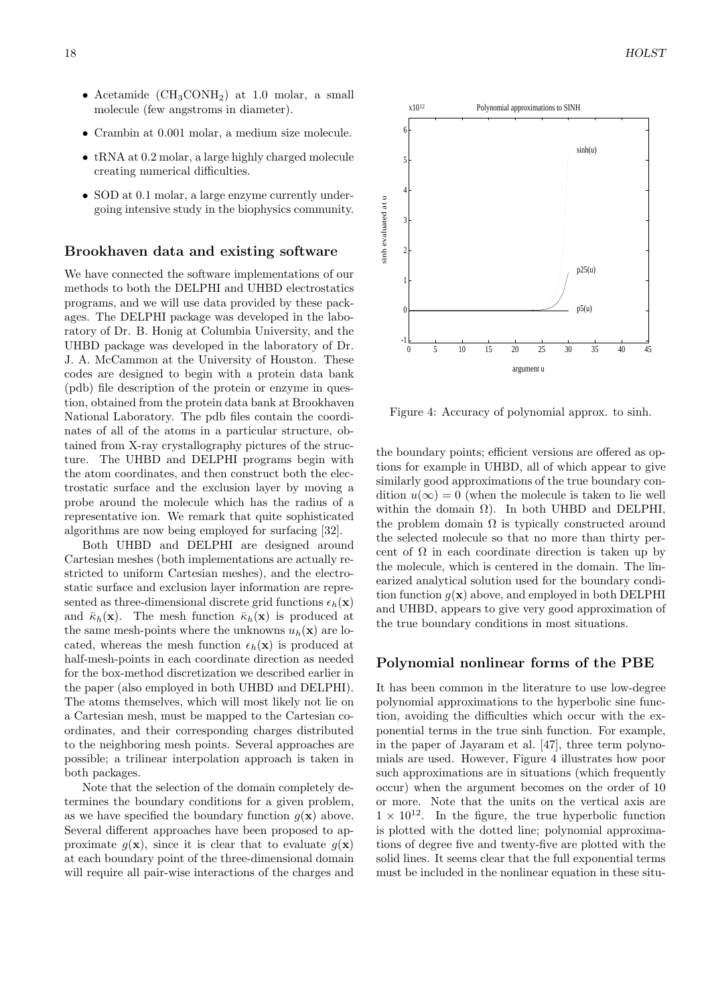- Acetamide  $(CH_3CONH_2)$  at 1.0 molar, a small molecule (few angstroms in diameter).
- Crambin at 0.001 molar, a medium size molecule.
- tRNA at 0.2 molar, a large highly charged molecule creating numerical difficulties.
- SOD at 0.1 molar, a large enzyme currently undergoing intensive study in the biophysics community.

#### Brookhaven data and existing software

We have connected the software implementations of our methods to both the DELPHI and UHBD electrostatics programs, and we will use data provided by these packages. The DELPHI package was developed in the laboratory of Dr. B. Honig at Columbia University, and the UHBD package was developed in the laboratory of Dr. J. A. McCammon at the University of Houston. These codes are designed to begin with a protein data bank (pdb) file description of the protein or enzyme in question, obtained from the protein data bank at Brookhaven National Laboratory. The pdb files contain the coordinates of all of the atoms in a particular structure, obtained from X-ray crystallography pictures of the structure. The UHBD and DELPHI programs begin with the atom coordinates, and then construct both the electrostatic surface and the exclusion layer by moving a probe around the molecule which has the radius of a representative ion. We remark that quite sophisticated algorithms are now being employed for surfacing [32].

Both UHBD and DELPHI are designed around Cartesian meshes (both implementations are actually restricted to uniform Cartesian meshes), and the electrostatic surface and exclusion layer information are represented as three-dimensional discrete grid functions  $\epsilon_h(\mathbf{x})$ and  $\bar{\kappa}_h(\mathbf{x})$ . The mesh function  $\bar{\kappa}_h(\mathbf{x})$  is produced at the same mesh-points where the unknowns  $u_h(\mathbf{x})$  are located, whereas the mesh function  $\epsilon_h(\mathbf{x})$  is produced at half-mesh-points in each coordinate direction as needed for the box-method discretization we described earlier in the paper (also employed in both UHBD and DELPHI). The atoms themselves, which will most likely not lie on a Cartesian mesh, must be mapped to the Cartesian coordinates, and their corresponding charges distributed to the neighboring mesh points. Several approaches are possible; a trilinear interpolation approach is taken in both packages.

Note that the selection of the domain completely determines the boundary conditions for a given problem, as we have specified the boundary function  $q(\mathbf{x})$  above. Several different approaches have been proposed to approximate  $g(\mathbf{x})$ , since it is clear that to evaluate  $g(\mathbf{x})$ at each boundary point of the three-dimensional domain will require all pair-wise interactions of the charges and



Figure 4: Accuracy of polynomial approx. to sinh.

the boundary points; efficient versions are offered as options for example in UHBD, all of which appear to give similarly good approximations of the true boundary condition  $u(\infty) = 0$  (when the molecule is taken to lie well within the domain  $\Omega$ ). In both UHBD and DELPHI, the problem domain  $\Omega$  is typically constructed around the selected molecule so that no more than thirty percent of  $\Omega$  in each coordinate direction is taken up by the molecule, which is centered in the domain. The linearized analytical solution used for the boundary condition function  $q(\mathbf{x})$  above, and employed in both DELPHI and UHBD, appears to give very good approximation of the true boundary conditions in most situations.

#### Polynomial nonlinear forms of the PBE

It has been common in the literature to use low-degree polynomial approximations to the hyperbolic sine function, avoiding the difficulties which occur with the exponential terms in the true sinh function. For example, in the paper of Jayaram et al. [47], three term polynomials are used. However, Figure 4 illustrates how poor such approximations are in situations (which frequently occur) when the argument becomes on the order of 10 or more. Note that the units on the vertical axis are  $1 \times 10^{12}$ . In the figure, the true hyperbolic function is plotted with the dotted line; polynomial approximations of degree five and twenty-five are plotted with the solid lines. It seems clear that the full exponential terms must be included in the nonlinear equation in these situ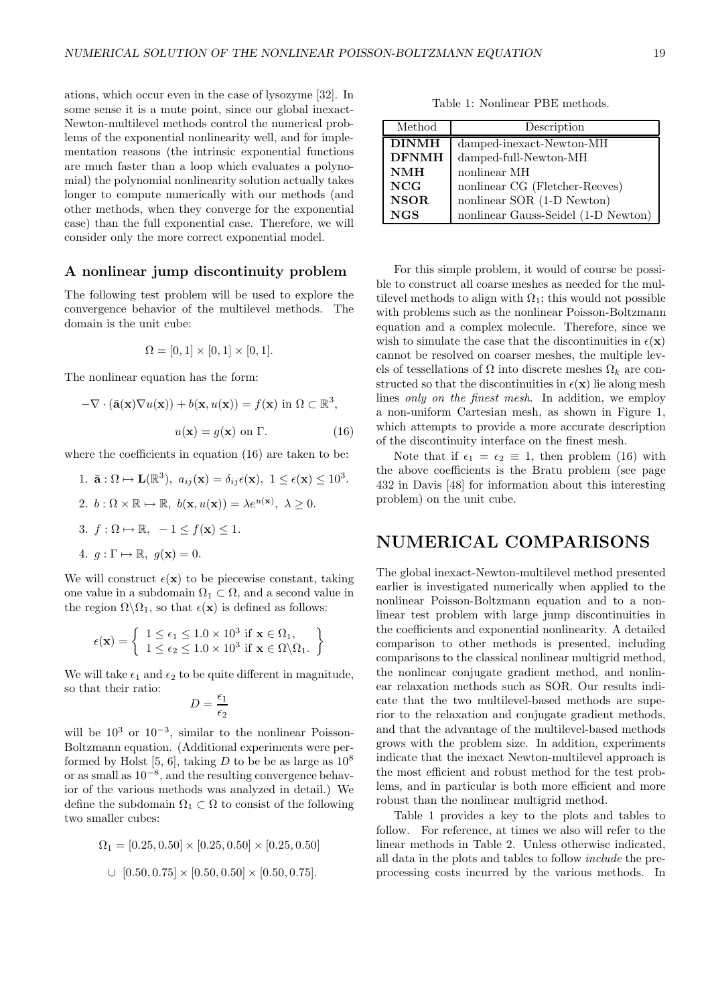ations, which occur even in the case of lysozyme [32]. In some sense it is a mute point, since our global inexact-Newton-multilevel methods control the numerical problems of the exponential nonlinearity well, and for implementation reasons (the intrinsic exponential functions are much faster than a loop which evaluates a polynomial) the polynomial nonlinearity solution actually takes longer to compute numerically with our methods (and other methods, when they converge for the exponential case) than the full exponential case. Therefore, we will consider only the more correct exponential model.

#### A nonlinear jump discontinuity problem

The following test problem will be used to explore the convergence behavior of the multilevel methods. The domain is the unit cube:

$$
\Omega = [0, 1] \times [0, 1] \times [0, 1].
$$

The nonlinear equation has the form:

$$
-\nabla \cdot (\bar{\mathbf{a}}(\mathbf{x}) \nabla u(\mathbf{x})) + b(\mathbf{x}, u(\mathbf{x})) = f(\mathbf{x}) \text{ in } \Omega \subset \mathbb{R}^3,
$$
  

$$
u(\mathbf{x}) = g(\mathbf{x}) \text{ on } \Gamma.
$$
 (16)

where the coefficients in equation (16) are taken to be:

\n- 1. 
$$
\bar{\mathbf{a}} : \Omega \mapsto \mathbf{L}(\mathbb{R}^3), \ a_{ij}(\mathbf{x}) = \delta_{ij}\epsilon(\mathbf{x}), \ 1 \leq \epsilon(\mathbf{x}) \leq 10^3.
$$
\n- 2.  $b : \Omega \times \mathbb{R} \mapsto \mathbb{R}, \ b(\mathbf{x}, u(\mathbf{x})) = \lambda e^{u(\mathbf{x})}, \ \lambda \geq 0.$
\n- 3.  $f : \Omega \mapsto \mathbb{R}, \ -1 \leq f(\mathbf{x}) \leq 1.$
\n- 4.  $g : \Gamma \mapsto \mathbb{R}, \ g(\mathbf{x}) = 0.$
\n

We will construct  $\epsilon(\mathbf{x})$  to be piecewise constant, taking one value in a subdomain  $\Omega_1 \subset \Omega$ , and a second value in the region  $\Omega \backslash \Omega_1$ , so that  $\epsilon(\mathbf{x})$  is defined as follows:

$$
\epsilon(\mathbf{x}) = \left\{ \begin{array}{l} 1 \leq \epsilon_1 \leq 1.0 \times 10^3 \text{ if } \mathbf{x} \in \Omega_1, \\ 1 \leq \epsilon_2 \leq 1.0 \times 10^3 \text{ if } \mathbf{x} \in \Omega \backslash \Omega_1. \end{array} \right\}
$$

We will take  $\epsilon_1$  and  $\epsilon_2$  to be quite different in magnitude, so that their ratio:

$$
D = \frac{\epsilon_1}{\epsilon_2}
$$

will be  $10^3$  or  $10^{-3}$ , similar to the nonlinear Poisson-Boltzmann equation. (Additional experiments were performed by Holst [5, 6], taking D to be be as large as  $10^8$ or as small as 10−<sup>8</sup> , and the resulting convergence behavior of the various methods was analyzed in detail.) We define the subdomain  $\Omega_1 \subset \Omega$  to consist of the following two smaller cubes:

$$
\Omega_1 = [0.25, 0.50] \times [0.25, 0.50] \times [0.25, 0.50]
$$
  

$$
\cup [0.50, 0.75] \times [0.50, 0.50] \times [0.50, 0.75].
$$

Table 1: Nonlinear PBE methods.

| Method       | Description                         |
|--------------|-------------------------------------|
| <b>DINMH</b> | damped-inexact-Newton-MH            |
| <b>DFNMH</b> | damped-full-Newton-MH               |
| <b>NMH</b>   | nonlinear MH                        |
| <b>NCG</b>   | nonlinear CG (Fletcher-Reeves)      |
| <b>NSOR</b>  | nonlinear SOR (1-D Newton)          |
| <b>NGS</b>   | nonlinear Gauss-Seidel (1-D Newton) |

For this simple problem, it would of course be possible to construct all coarse meshes as needed for the multilevel methods to align with  $\Omega_1$ ; this would not possible with problems such as the nonlinear Poisson-Boltzmann equation and a complex molecule. Therefore, since we wish to simulate the case that the discontinuities in  $\epsilon(\mathbf{x})$ cannot be resolved on coarser meshes, the multiple levels of tessellations of  $\Omega$  into discrete meshes  $\Omega_k$  are constructed so that the discontinuities in  $\epsilon(\mathbf{x})$  lie along mesh lines only on the finest mesh. In addition, we employ a non-uniform Cartesian mesh, as shown in Figure 1, which attempts to provide a more accurate description of the discontinuity interface on the finest mesh.

Note that if  $\epsilon_1 = \epsilon_2 \equiv 1$ , then problem (16) with the above coefficients is the Bratu problem (see page 432 in Davis [48] for information about this interesting problem) on the unit cube.

# NUMERICAL COMPARISONS

The global inexact-Newton-multilevel method presented earlier is investigated numerically when applied to the nonlinear Poisson-Boltzmann equation and to a nonlinear test problem with large jump discontinuities in the coefficients and exponential nonlinearity. A detailed comparison to other methods is presented, including comparisons to the classical nonlinear multigrid method, the nonlinear conjugate gradient method, and nonlinear relaxation methods such as SOR. Our results indicate that the two multilevel-based methods are superior to the relaxation and conjugate gradient methods, and that the advantage of the multilevel-based methods grows with the problem size. In addition, experiments indicate that the inexact Newton-multilevel approach is the most efficient and robust method for the test problems, and in particular is both more efficient and more robust than the nonlinear multigrid method.

Table 1 provides a key to the plots and tables to follow. For reference, at times we also will refer to the linear methods in Table 2. Unless otherwise indicated, all data in the plots and tables to follow include the preprocessing costs incurred by the various methods. In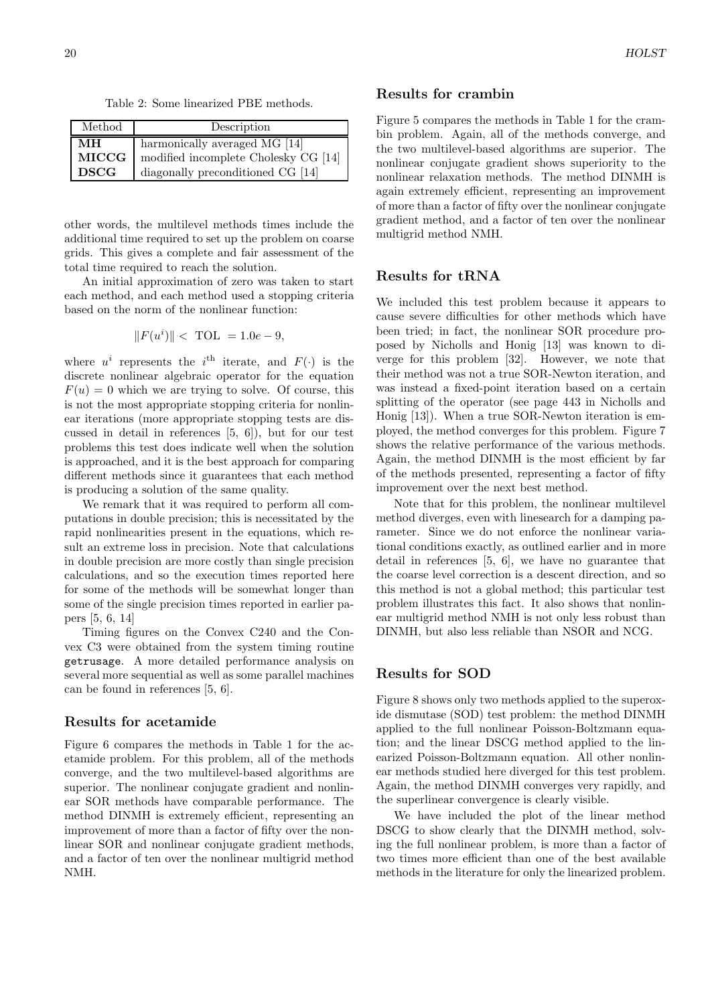Table 2: Some linearized PBE methods.

| Method      | Description                          |
|-------------|--------------------------------------|
| MН          | harmonically averaged MG [14]        |
| MICCG       | modified incomplete Cholesky CG [14] |
| <b>DSCG</b> | diagonally preconditioned CG [14]    |

other words, the multilevel methods times include the additional time required to set up the problem on coarse grids. This gives a complete and fair assessment of the total time required to reach the solution.

An initial approximation of zero was taken to start each method, and each method used a stopping criteria based on the norm of the nonlinear function:

$$
||F(ui)|| < TOL = 1.0e-9,
$$

where  $u^i$  represents the  $i^{\text{th}}$  iterate, and  $F(\cdot)$  is the discrete nonlinear algebraic operator for the equation  $F(u) = 0$  which we are trying to solve. Of course, this is not the most appropriate stopping criteria for nonlinear iterations (more appropriate stopping tests are discussed in detail in references [5, 6]), but for our test problems this test does indicate well when the solution is approached, and it is the best approach for comparing different methods since it guarantees that each method is producing a solution of the same quality.

We remark that it was required to perform all computations in double precision; this is necessitated by the rapid nonlinearities present in the equations, which result an extreme loss in precision. Note that calculations in double precision are more costly than single precision calculations, and so the execution times reported here for some of the methods will be somewhat longer than some of the single precision times reported in earlier papers [5, 6, 14]

Timing figures on the Convex C240 and the Convex C3 were obtained from the system timing routine getrusage. A more detailed performance analysis on several more sequential as well as some parallel machines can be found in references [5, 6].

#### Results for acetamide

Figure 6 compares the methods in Table 1 for the acetamide problem. For this problem, all of the methods converge, and the two multilevel-based algorithms are superior. The nonlinear conjugate gradient and nonlinear SOR methods have comparable performance. The method DINMH is extremely efficient, representing an improvement of more than a factor of fifty over the nonlinear SOR and nonlinear conjugate gradient methods, and a factor of ten over the nonlinear multigrid method NMH.

#### Results for crambin

Figure 5 compares the methods in Table 1 for the crambin problem. Again, all of the methods converge, and the two multilevel-based algorithms are superior. The nonlinear conjugate gradient shows superiority to the nonlinear relaxation methods. The method DINMH is again extremely efficient, representing an improvement of more than a factor of fifty over the nonlinear conjugate gradient method, and a factor of ten over the nonlinear multigrid method NMH.

## Results for tRNA

We included this test problem because it appears to cause severe difficulties for other methods which have been tried; in fact, the nonlinear SOR procedure proposed by Nicholls and Honig [13] was known to diverge for this problem [32]. However, we note that their method was not a true SOR-Newton iteration, and was instead a fixed-point iteration based on a certain splitting of the operator (see page 443 in Nicholls and Honig [13]). When a true SOR-Newton iteration is employed, the method converges for this problem. Figure 7 shows the relative performance of the various methods. Again, the method DINMH is the most efficient by far of the methods presented, representing a factor of fifty improvement over the next best method.

Note that for this problem, the nonlinear multilevel method diverges, even with linesearch for a damping parameter. Since we do not enforce the nonlinear variational conditions exactly, as outlined earlier and in more detail in references [5, 6], we have no guarantee that the coarse level correction is a descent direction, and so this method is not a global method; this particular test problem illustrates this fact. It also shows that nonlinear multigrid method NMH is not only less robust than DINMH, but also less reliable than NSOR and NCG.

## Results for SOD

Figure 8 shows only two methods applied to the superoxide dismutase (SOD) test problem: the method DINMH applied to the full nonlinear Poisson-Boltzmann equation; and the linear DSCG method applied to the linearized Poisson-Boltzmann equation. All other nonlinear methods studied here diverged for this test problem. Again, the method DINMH converges very rapidly, and the superlinear convergence is clearly visible.

We have included the plot of the linear method DSCG to show clearly that the DINMH method, solving the full nonlinear problem, is more than a factor of two times more efficient than one of the best available methods in the literature for only the linearized problem.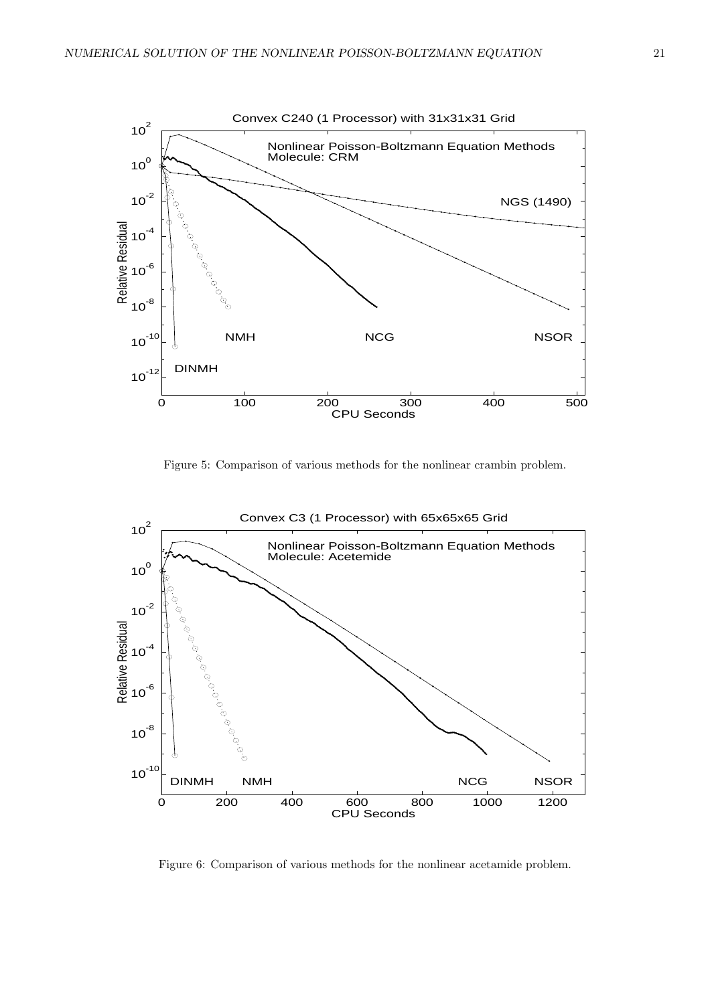

Figure 5: Comparison of various methods for the nonlinear crambin problem.



Figure 6: Comparison of various methods for the nonlinear acetamide problem.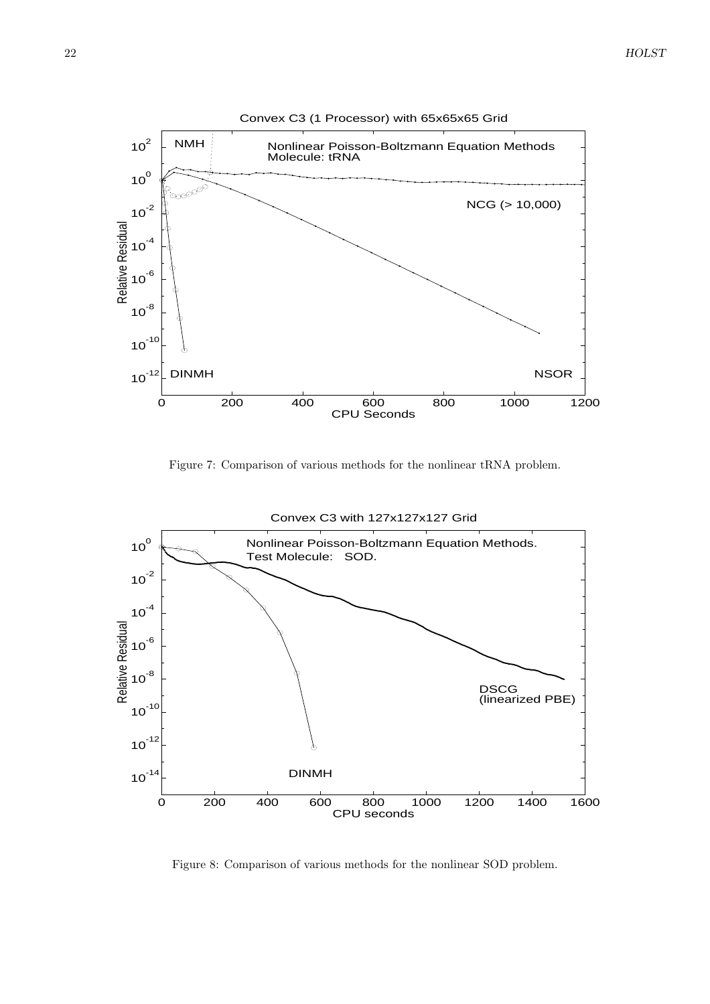

Figure 7: Comparison of various methods for the nonlinear tRNA problem.



Figure 8: Comparison of various methods for the nonlinear SOD problem.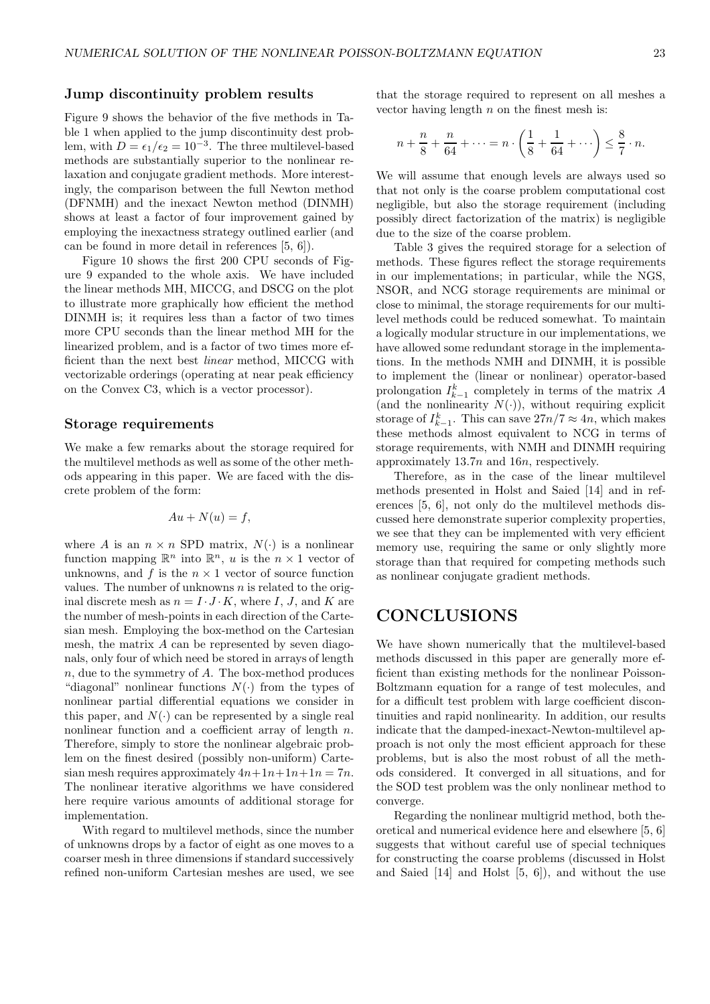## Jump discontinuity problem results

Figure 9 shows the behavior of the five methods in Table 1 when applied to the jump discontinuity dest problem, with  $D = \epsilon_1/\epsilon_2 = 10^{-3}$ . The three multilevel-based methods are substantially superior to the nonlinear relaxation and conjugate gradient methods. More interestingly, the comparison between the full Newton method (DFNMH) and the inexact Newton method (DINMH) shows at least a factor of four improvement gained by employing the inexactness strategy outlined earlier (and can be found in more detail in references [5, 6]).

Figure 10 shows the first 200 CPU seconds of Figure 9 expanded to the whole axis. We have included the linear methods MH, MICCG, and DSCG on the plot to illustrate more graphically how efficient the method DINMH is; it requires less than a factor of two times more CPU seconds than the linear method MH for the linearized problem, and is a factor of two times more efficient than the next best linear method, MICCG with vectorizable orderings (operating at near peak efficiency on the Convex C3, which is a vector processor).

#### Storage requirements

We make a few remarks about the storage required for the multilevel methods as well as some of the other methods appearing in this paper. We are faced with the discrete problem of the form:

$$
Au + N(u) = f,
$$

where A is an  $n \times n$  SPD matrix,  $N(\cdot)$  is a nonlinear function mapping  $\mathbb{R}^n$  into  $\mathbb{R}^n$ , u is the  $n \times 1$  vector of unknowns, and  $f$  is the  $n \times 1$  vector of source function values. The number of unknowns  $n$  is related to the original discrete mesh as  $n = I \cdot J \cdot K$ , where I, J, and K are the number of mesh-points in each direction of the Cartesian mesh. Employing the box-method on the Cartesian mesh, the matrix A can be represented by seven diagonals, only four of which need be stored in arrays of length  $n$ , due to the symmetry of  $A$ . The box-method produces "diagonal" nonlinear functions  $N(\cdot)$  from the types of nonlinear partial differential equations we consider in this paper, and  $N(\cdot)$  can be represented by a single real nonlinear function and a coefficient array of length n. Therefore, simply to store the nonlinear algebraic problem on the finest desired (possibly non-uniform) Cartesian mesh requires approximately  $4n+1n+1n+1n = 7n$ . The nonlinear iterative algorithms we have considered here require various amounts of additional storage for implementation.

With regard to multilevel methods, since the number of unknowns drops by a factor of eight as one moves to a coarser mesh in three dimensions if standard successively refined non-uniform Cartesian meshes are used, we see

that the storage required to represent on all meshes a vector having length  $n$  on the finest mesh is:

$$
n + \frac{n}{8} + \frac{n}{64} + \dots = n \cdot \left(\frac{1}{8} + \frac{1}{64} + \dots\right) \le \frac{8}{7} \cdot n.
$$

We will assume that enough levels are always used so that not only is the coarse problem computational cost negligible, but also the storage requirement (including possibly direct factorization of the matrix) is negligible due to the size of the coarse problem.

Table 3 gives the required storage for a selection of methods. These figures reflect the storage requirements in our implementations; in particular, while the NGS, NSOR, and NCG storage requirements are minimal or close to minimal, the storage requirements for our multilevel methods could be reduced somewhat. To maintain a logically modular structure in our implementations, we have allowed some redundant storage in the implementations. In the methods NMH and DINMH, it is possible to implement the (linear or nonlinear) operator-based prolongation  $I_{k-1}^k$  completely in terms of the matrix A (and the nonlinearity  $N(.)$ ), without requiring explicit storage of  $I_{k-1}^k$ . This can save  $27n/7 \approx 4n$ , which makes these methods almost equivalent to NCG in terms of storage requirements, with NMH and DINMH requiring approximately 13.7n and 16n, respectively.

Therefore, as in the case of the linear multilevel methods presented in Holst and Saied [14] and in references [5, 6], not only do the multilevel methods discussed here demonstrate superior complexity properties, we see that they can be implemented with very efficient memory use, requiring the same or only slightly more storage than that required for competing methods such as nonlinear conjugate gradient methods.

# CONCLUSIONS

We have shown numerically that the multilevel-based methods discussed in this paper are generally more efficient than existing methods for the nonlinear Poisson-Boltzmann equation for a range of test molecules, and for a difficult test problem with large coefficient discontinuities and rapid nonlinearity. In addition, our results indicate that the damped-inexact-Newton-multilevel approach is not only the most efficient approach for these problems, but is also the most robust of all the methods considered. It converged in all situations, and for the SOD test problem was the only nonlinear method to converge.

Regarding the nonlinear multigrid method, both theoretical and numerical evidence here and elsewhere [5, 6] suggests that without careful use of special techniques for constructing the coarse problems (discussed in Holst and Saied [14] and Holst [5, 6]), and without the use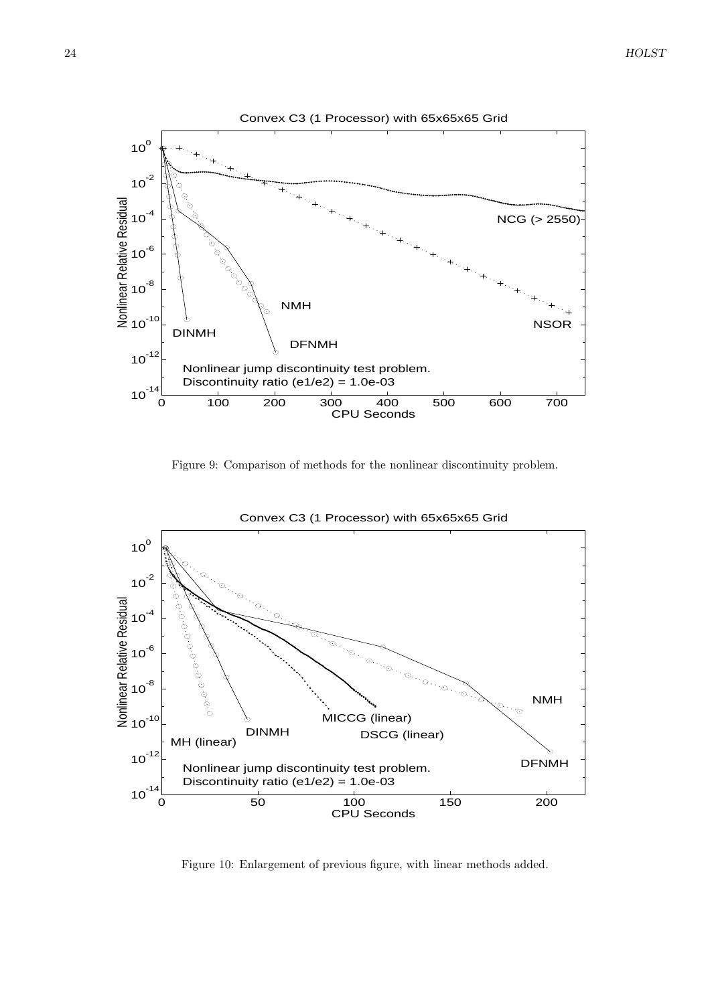

Figure 9: Comparison of methods for the nonlinear discontinuity problem.



Convex C3 (1 Processor) with 65x65x65 Grid

Figure 10: Enlargement of previous figure, with linear methods added.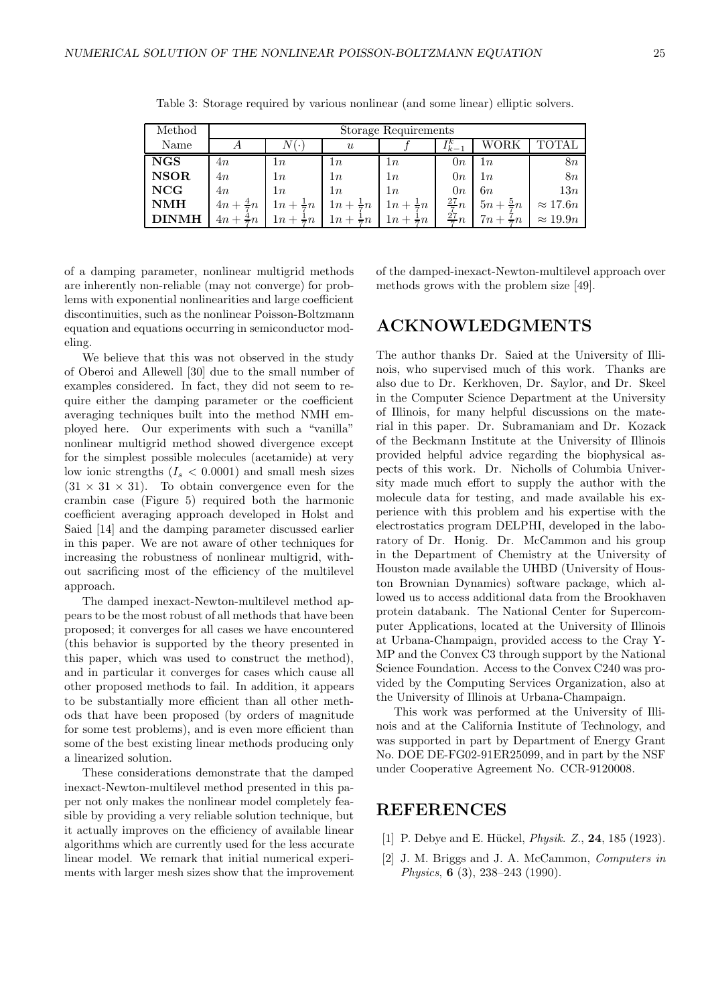| Method      | Storage Requirements     |                         |                       |                         |                 |                     |                 |
|-------------|--------------------------|-------------------------|-----------------------|-------------------------|-----------------|---------------------|-----------------|
| Name        |                          | $\cdot$                 | $\boldsymbol{u}$      |                         | TК<br>$k - 1$   |                     |                 |
| <b>NGS</b>  | 4n                       | 1n                      | 1n                    | 1n                      | 0n              | 1n                  | 8 <i>n</i>      |
| <b>NSOR</b> | 4n                       | 1n                      | 1n                    | 1n                      | 0n              | 1n                  | 8n              |
| <b>NCG</b>  | 4n                       | 1n                      | 1n                    | 1n                      | 0n              | 6 $\it{n}$          | 13n             |
| NMH         | $4n + \frac{4}{5}n$      | $1n +$<br>$\frac{1}{n}$ | 1n                    | $1n + \frac{1}{2}n$     | $\frac{27}{7}n$ | $5n + \frac{5}{7}n$ | $\approx 17.6n$ |
| <b>NMH</b>  | $\frac{4}{5}n$<br>$4n +$ | $1n +$<br>$\exists n$   | $1n +$<br>$\exists n$ | $1n + -$<br>$\exists n$ | $\frac{27}{7}n$ | $7n +$<br>$\div n$  | $\approx 19.9n$ |

Table 3: Storage required by various nonlinear (and some linear) elliptic solvers.

of a damping parameter, nonlinear multigrid methods are inherently non-reliable (may not converge) for problems with exponential nonlinearities and large coefficient discontinuities, such as the nonlinear Poisson-Boltzmann equation and equations occurring in semiconductor modeling.

We believe that this was not observed in the study of Oberoi and Allewell [30] due to the small number of examples considered. In fact, they did not seem to require either the damping parameter or the coefficient averaging techniques built into the method NMH employed here. Our experiments with such a "vanilla" nonlinear multigrid method showed divergence except for the simplest possible molecules (acetamide) at very low ionic strengths  $(I_s < 0.0001)$  and small mesh sizes  $(31 \times 31 \times 31)$ . To obtain convergence even for the crambin case (Figure 5) required both the harmonic coefficient averaging approach developed in Holst and Saied [14] and the damping parameter discussed earlier in this paper. We are not aware of other techniques for increasing the robustness of nonlinear multigrid, without sacrificing most of the efficiency of the multilevel approach.

The damped inexact-Newton-multilevel method appears to be the most robust of all methods that have been proposed; it converges for all cases we have encountered (this behavior is supported by the theory presented in this paper, which was used to construct the method), and in particular it converges for cases which cause all other proposed methods to fail. In addition, it appears to be substantially more efficient than all other methods that have been proposed (by orders of magnitude for some test problems), and is even more efficient than some of the best existing linear methods producing only a linearized solution.

These considerations demonstrate that the damped inexact-Newton-multilevel method presented in this paper not only makes the nonlinear model completely feasible by providing a very reliable solution technique, but it actually improves on the efficiency of available linear algorithms which are currently used for the less accurate linear model. We remark that initial numerical experiments with larger mesh sizes show that the improvement of the damped-inexact-Newton-multilevel approach over methods grows with the problem size [49].

# ACKNOWLEDGMENTS

The author thanks Dr. Saied at the University of Illinois, who supervised much of this work. Thanks are also due to Dr. Kerkhoven, Dr. Saylor, and Dr. Skeel in the Computer Science Department at the University of Illinois, for many helpful discussions on the material in this paper. Dr. Subramaniam and Dr. Kozack of the Beckmann Institute at the University of Illinois provided helpful advice regarding the biophysical aspects of this work. Dr. Nicholls of Columbia University made much effort to supply the author with the molecule data for testing, and made available his experience with this problem and his expertise with the electrostatics program DELPHI, developed in the laboratory of Dr. Honig. Dr. McCammon and his group in the Department of Chemistry at the University of Houston made available the UHBD (University of Houston Brownian Dynamics) software package, which allowed us to access additional data from the Brookhaven protein databank. The National Center for Supercomputer Applications, located at the University of Illinois at Urbana-Champaign, provided access to the Cray Y-MP and the Convex C3 through support by the National Science Foundation. Access to the Convex C240 was provided by the Computing Services Organization, also at the University of Illinois at Urbana-Champaign.

This work was performed at the University of Illinois and at the California Institute of Technology, and was supported in part by Department of Energy Grant No. DOE DE-FG02-91ER25099, and in part by the NSF under Cooperative Agreement No. CCR-9120008.

# REFERENCES

- [1] P. Debye and E. Hückel, *Physik.*  $Z$ , **24**, 185 (1923).
- [2] J. M. Briggs and J. A. McCammon, *Computers in* Physics, 6 (3), 238–243 (1990).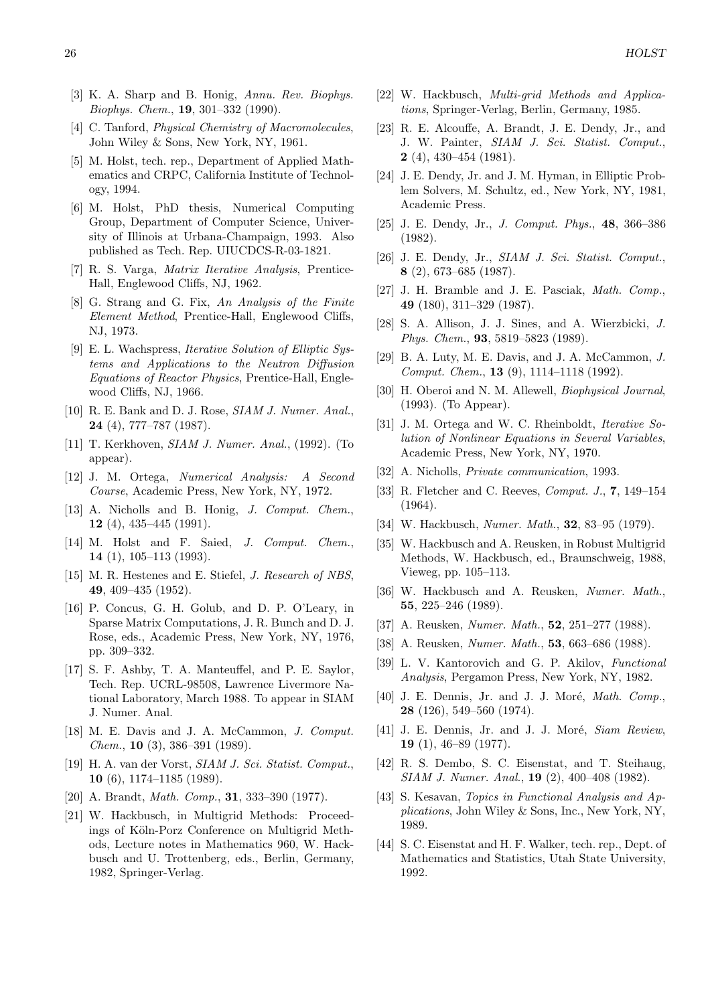- [3] K. A. Sharp and B. Honig, Annu. Rev. Biophys. Biophys. Chem., 19, 301–332 (1990).
- [4] C. Tanford, *Physical Chemistry of Macromolecules*, John Wiley & Sons, New York, NY, 1961.
- [5] M. Holst, tech. rep., Department of Applied Mathematics and CRPC, California Institute of Technology, 1994.
- [6] M. Holst, PhD thesis, Numerical Computing Group, Department of Computer Science, University of Illinois at Urbana-Champaign, 1993. Also published as Tech. Rep. UIUCDCS-R-03-1821.
- [7] R. S. Varga, Matrix Iterative Analysis, Prentice-Hall, Englewood Cliffs, NJ, 1962.
- [8] G. Strang and G. Fix, An Analysis of the Finite Element Method, Prentice-Hall, Englewood Cliffs, NJ, 1973.
- [9] E. L. Wachspress, Iterative Solution of Elliptic Systems and Applications to the Neutron Diffusion Equations of Reactor Physics, Prentice-Hall, Englewood Cliffs, NJ, 1966.
- [10] R. E. Bank and D. J. Rose, SIAM J. Numer. Anal., 24 (4), 777–787 (1987).
- [11] T. Kerkhoven, SIAM J. Numer. Anal., (1992). (To appear).
- [12] J. M. Ortega, Numerical Analysis: A Second Course, Academic Press, New York, NY, 1972.
- [13] A. Nicholls and B. Honig, J. Comput. Chem., 12 (4), 435–445 (1991).
- [14] M. Holst and F. Saied, J. Comput. Chem., 14 (1), 105–113 (1993).
- [15] M. R. Hestenes and E. Stiefel, *J. Research of NBS*, 49, 409–435 (1952).
- [16] P. Concus, G. H. Golub, and D. P. O'Leary, in Sparse Matrix Computations, J. R. Bunch and D. J. Rose, eds., Academic Press, New York, NY, 1976, pp. 309–332.
- [17] S. F. Ashby, T. A. Manteuffel, and P. E. Saylor, Tech. Rep. UCRL-98508, Lawrence Livermore National Laboratory, March 1988. To appear in SIAM J. Numer. Anal.
- [18] M. E. Davis and J. A. McCammon, *J. Comput.* Chem., 10 (3), 386–391 (1989).
- [19] H. A. van der Vorst, SIAM J. Sci. Statist. Comput., 10 (6), 1174–1185 (1989).
- [20] A. Brandt, *Math. Comp.*, **31**, 333-390 (1977).
- [21] W. Hackbusch, in Multigrid Methods: Proceedings of Köln-Porz Conference on Multigrid Methods, Lecture notes in Mathematics 960, W. Hackbusch and U. Trottenberg, eds., Berlin, Germany, 1982, Springer-Verlag.
- [22] W. Hackbusch, Multi-grid Methods and Applications, Springer-Verlag, Berlin, Germany, 1985.
- [23] R. E. Alcouffe, A. Brandt, J. E. Dendy, Jr., and J. W. Painter, SIAM J. Sci. Statist. Comput., 2 (4), 430–454 (1981).
- [24] J. E. Dendy, Jr. and J. M. Hyman, in Elliptic Problem Solvers, M. Schultz, ed., New York, NY, 1981, Academic Press.
- [25] J. E. Dendy, Jr., J. Comput. Phys., 48, 366–386 (1982).
- [26] J. E. Dendy, Jr., SIAM J. Sci. Statist. Comput., 8 (2), 673–685 (1987).
- [27] J. H. Bramble and J. E. Pasciak, Math. Comp., 49 (180), 311–329 (1987).
- [28] S. A. Allison, J. J. Sines, and A. Wierzbicki, J. Phys. Chem., 93, 5819–5823 (1989).
- [29] B. A. Luty, M. E. Davis, and J. A. McCammon, J. Comput. Chem., 13 (9), 1114–1118 (1992).
- [30] H. Oberoi and N. M. Allewell, Biophysical Journal, (1993). (To Appear).
- [31] J. M. Ortega and W. C. Rheinboldt, *Iterative So*lution of Nonlinear Equations in Several Variables, Academic Press, New York, NY, 1970.
- [32] A. Nicholls, *Private communication*, 1993.
- [33] R. Fletcher and C. Reeves, Comput. J., 7, 149–154 (1964).
- [34] W. Hackbusch, *Numer. Math.*, **32**, 83-95 (1979).
- [35] W. Hackbusch and A. Reusken, in Robust Multigrid Methods, W. Hackbusch, ed., Braunschweig, 1988, Vieweg, pp. 105–113.
- [36] W. Hackbusch and A. Reusken, Numer. Math., 55, 225–246 (1989).
- [37] A. Reusken, *Numer. Math.*, **52**, 251–277 (1988).
- [38] A. Reusken, Numer. Math., 53, 663–686 (1988).
- [39] L. V. Kantorovich and G. P. Akilov, Functional Analysis, Pergamon Press, New York, NY, 1982.
- [40] J. E. Dennis, Jr. and J. J. Moré, *Math. Comp.*, 28 (126), 549–560 (1974).
- [41] J. E. Dennis, Jr. and J. J. Moré, Siam Review, 19 (1), 46–89 (1977).
- [42] R. S. Dembo, S. C. Eisenstat, and T. Steihaug, SIAM J. Numer. Anal., 19 (2), 400–408 (1982).
- [43] S. Kesavan, Topics in Functional Analysis and Applications, John Wiley & Sons, Inc., New York, NY, 1989.
- [44] S. C. Eisenstat and H. F. Walker, tech. rep., Dept. of Mathematics and Statistics, Utah State University, 1992.